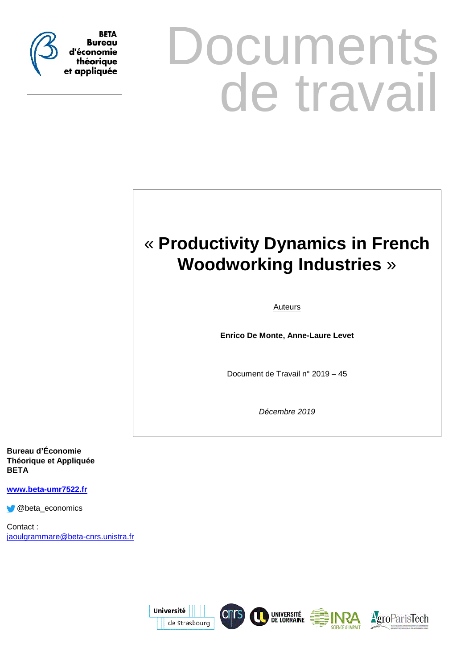

# **Documents** de travail

# « **Productivity Dynamics in French Woodworking Industries** »

**Auteurs** 

**Enrico De Monte, Anne-Laure Levet**

Document de Travail n° 2019 – 45

*Décembre 2019*

**Bureau d'Économie Théorique et Appliquée BETA**

**[www.beta-umr7522.fr](http://www.beta-umr7522.fr/)**

@beta\_economics

Contact : [jaoulgrammare@beta-cnrs.unistra.fr](mailto:jaoulgrammare@beta-cnrs.unistra.fr)

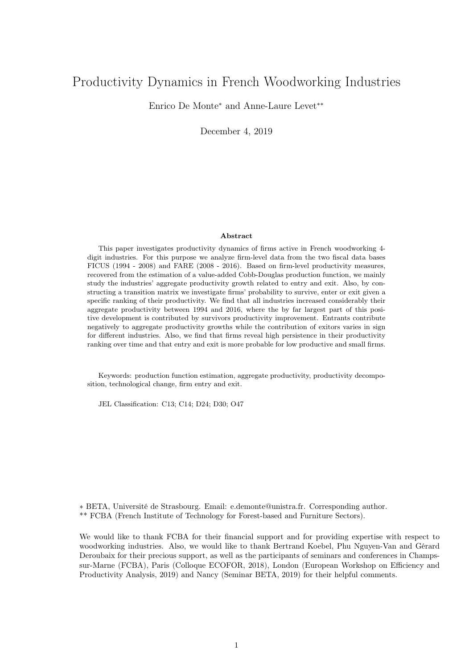# Productivity Dynamics in French Woodworking Industries

Enrico De Monte<sup>∗</sup> and Anne-Laure Levet∗∗

December 4, 2019

#### Abstract

This paper investigates productivity dynamics of firms active in French woodworking 4 digit industries. For this purpose we analyze firm-level data from the two fiscal data bases FICUS (1994 - 2008) and FARE (2008 - 2016). Based on firm-level productivity measures, recovered from the estimation of a value-added Cobb-Douglas production function, we mainly study the industries' aggregate productivity growth related to entry and exit. Also, by constructing a transition matrix we investigate firms' probability to survive, enter or exit given a specific ranking of their productivity. We find that all industries increased considerably their aggregate productivity between 1994 and 2016, where the by far largest part of this positive development is contributed by survivors productivity improvement. Entrants contribute negatively to aggregate productivity growths while the contribution of exitors varies in sign for different industries. Also, we find that firms reveal high persistence in their productivity ranking over time and that entry and exit is more probable for low productive and small firms.

Keywords: production function estimation, aggregate productivity, productivity decomposition, technological change, firm entry and exit.

JEL Classification: C13; C14; D24; D30; O47

∗ BETA, Université de Strasbourg. Email: e.demonte@unistra.fr. Corresponding author. \*\* FCBA (French Institute of Technology for Forest-based and Furniture Sectors).

We would like to thank FCBA for their financial support and for providing expertise with respect to woodworking industries. Also, we would like to thank Bertrand Koebel, Phu Nguyen-Van and Gérard Deroubaix for their precious support, as well as the participants of seminars and conferences in Champssur-Marne (FCBA), Paris (Colloque ECOFOR, 2018), London (European Workshop on Efficiency and Productivity Analysis, 2019) and Nancy (Seminar BETA, 2019) for their helpful comments.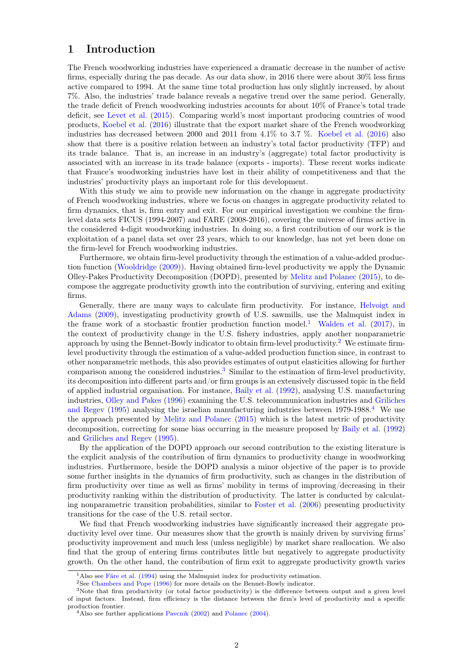# 1 Introduction

The French woodworking industries have experienced a dramatic decrease in the number of active firms, especially during the pas decade. As our data show, in 2016 there were about 30% less firms active compared to 1994. At the same time total production has only slightly increased, by about 7%. Also, the industries' trade balance reveals a negative trend over the same period. Generally, the trade deficit of French woodworking industries accounts for about 10% of France's total trade deficit, see [Levet et al.](#page-30-0) [\(2015\)](#page-30-0). Comparing world's most important producing countries of wood products, [Koebel et al.](#page-30-1) [\(2016\)](#page-30-1) illustrate that the export market share of the French woodworking industries has decreased between 2000 and 2011 from 4.1% to 3.7 %. [Koebel et al.](#page-30-1) [\(2016\)](#page-30-1) also show that there is a positive relation between an industry's total factor productivity (TFP) and its trade balance. That is, an increase in an industry's (aggregate) total factor productivity is associated with an increase in its trade balance (exports - imports). These recent works indicate that France's woodworking industries have lost in their ability of competitiveness and that the industries' productivity plays an important role for this development.

With this study we aim to provide new information on the change in aggregate productivity of French woodworking industries, where we focus on changes in aggregate productivity related to firm dynamics, that is, firm entry and exit. For our empirical investigation we combine the firmlevel data sets FICUS (1994-2007) and FARE (2008-2016), covering the universe of firms active in the considered 4-digit woodworking industries. In doing so, a first contribution of our work is the exploitation of a panel data set over 23 years, which to our knowledge, has not yet been done on the firm-level for French woodworking industries.

Furthermore, we obtain firm-level productivity through the estimation of a value-added production function [\(Wooldridge](#page-31-0) [\(2009\)](#page-31-0)). Having obtained firm-level productivity we apply the Dynamic Olley-Pakes Productivity Decomposition (DOPD), presented by [Melitz and Polanec](#page-31-1) [\(2015\)](#page-31-1), to decompose the aggregate productivity growth into the contribution of surviving, entering and exiting firms.

Generally, there are many ways to calculate firm productivity. For instance, [Helvoigt and](#page-30-2) [Adams](#page-30-2) [\(2009\)](#page-30-2), investigating productivity growth of U.S. sawmills, use the Malmquist index in the frame work of a stochastic frontier production function model.<sup>[1](#page-2-0)</sup> [Walden et al.](#page-31-2)  $(2017)$ , in the context of productivity change in the U.S. fishery industries, apply another nonparametric approach by using the Bennet-Bowly indicator to obtain firm-level productivity.<sup>[2](#page-2-1)</sup> We estimate firmlevel productivity through the estimation of a value-added production function since, in contrast to other nonparametric methods, this also provides estimates of output elasticities allowing for further comparison among the considered industries.<sup>[3](#page-2-2)</sup> Similar to the estimation of firm-level productivity, its decomposition into different parts and/or firm groups is an extensively discussed topic in the field of applied industrial organisation. For instance, [Baily et al.](#page-30-3) [\(1992\)](#page-30-3), analysing U.S. manufacturing industries, [Olley and Pakes](#page-31-3) [\(1996\)](#page-31-3) examining the U.S. telecommunication industries and [Griliches](#page-30-4) [and Regev](#page-30-4) [\(1995\)](#page-30-4) analysing the israelian manufacturing industries between 1979-1988.[4](#page-2-3) We use the approach presented by [Melitz and Polanec](#page-31-1) [\(2015\)](#page-31-1) which is the latest metric of productivity decomposition, correcting for some bias occurring in the measure proposed by [Baily et al.](#page-30-3) [\(1992\)](#page-30-3) and [Griliches and Regev](#page-30-4) [\(1995\)](#page-30-4).

By the application of the DOPD approach our second contribution to the existing literature is the explicit analysis of the contribution of firm dynamics to productivity change in woodworking industries. Furthermore, beside the DOPD analysis a minor objective of the paper is to provide some further insights in the dynamics of firm productivity, such as changes in the distribution of firm productivity over time as well as firms' mobility in terms of improving/decreasing in their productivity ranking within the distribution of productivity. The latter is conducted by calculating nonparametric transition probabilities, similar to [Foster et al.](#page-30-5) [\(2006\)](#page-30-5) presenting productivity transitions for the case of the U.S. retail sector.

We find that French woodworking industries have significantly increased their aggregate productivity level over time. Our measures show that the growth is mainly driven by surviving firms productivity improvement and much less (unless negligible) by market share reallocation. We also find that the group of entering firms contributes little but negatively to aggregate productivity growth. On the other hand, the contribution of firm exit to aggregate productivity growth varies

<span id="page-2-0"></span><sup>&</sup>lt;sup>1</sup>Also see [Färe et al.](#page-30-6) [\(1994\)](#page-30-6) using the Malmquist index for productivity estimation.

<span id="page-2-2"></span><span id="page-2-1"></span><sup>2</sup>See [Chambers and Pope](#page-30-7) [\(1996\)](#page-30-7) for more details on the Bennet-Bowly indicator.

<sup>3</sup>Note that firm productivity (or total factor productivity) is the difference between output and a given level of input factors. Instead, firm efficiency is the distance between the firm's level of productivity and a specific production frontier.

<span id="page-2-3"></span><sup>4</sup>Also see further applications [Pavcnik](#page-31-4) [\(2002\)](#page-31-4) and [Polanec](#page-31-5) [\(2004\)](#page-31-5).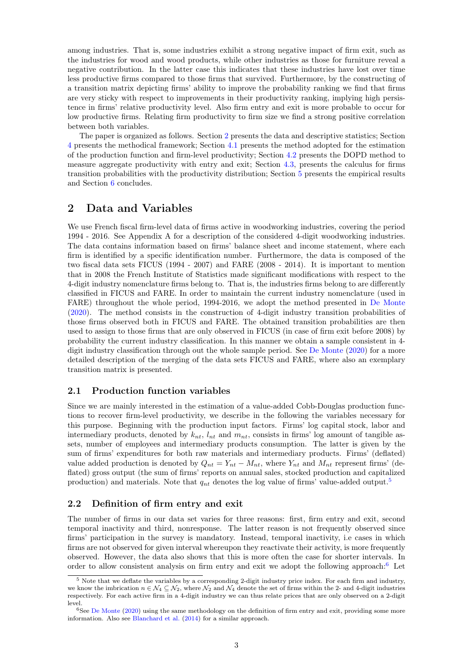among industries. That is, some industries exhibit a strong negative impact of firm exit, such as the industries for wood and wood products, while other industries as those for furniture reveal a negative contribution. In the latter case this indicates that these industries have lost over time less productive firms compared to those firms that survived. Furthermore, by the constructing of a transition matrix depicting firms' ability to improve the probability ranking we find that firms are very sticky with respect to improvements in their productivity ranking, implying high persistence in firms' relative productivity level. Also firm entry and exit is more probable to occur for low productive firms. Relating firm productivity to firm size we find a strong positive correlation between both variables.

The paper is organized as follows. Section [2](#page-3-0) presents the data and descriptive statistics; Section [4](#page-6-0) presents the methodical framework; Section [4.1](#page-6-1) presents the method adopted for the estimation of the production function and firm-level productivity; Section [4.2](#page-8-0) presents the DOPD method to measure aggregate productivity with entry and exit; Section [4.3,](#page-9-0) presents the calculus for firms transition probabilities with the productivity distribution; Section [5](#page-10-0) presents the empirical results and Section [6](#page-21-0) concludes.

# <span id="page-3-0"></span>2 Data and Variables

We use French fiscal firm-level data of firms active in woodworking industries, covering the period 1994 - 2016. See Appendix A for a description of the considered 4-digit woodworking industries. The data contains information based on firms' balance sheet and income statement, where each firm is identified by a specific identification number. Furthermore, the data is composed of the two fiscal data sets FICUS (1994 - 2007) and FARE (2008 - 2014). It is important to mention that in 2008 the French Institute of Statistics made significant modifications with respect to the 4-digit industry nomenclature firms belong to. That is, the industries firms belong to are differently classified in FICUS and FARE. In order to maintain the current industry nomenclature (used in FARE) throughout the whole period, 1994-2016, we adopt the method presented in [De Monte](#page-30-8) [\(2020\)](#page-30-8). The method consists in the construction of 4-digit industry transition probabilities of those firms observed both in FICUS and FARE. The obtained transition probabilities are then used to assign to those firms that are only observed in FICUS (in case of firm exit before 2008) by probability the current industry classification. In this manner we obtain a sample consistent in 4 digit industry classification through out the whole sample period. See [De Monte](#page-30-8) [\(2020\)](#page-30-8) for a more detailed description of the merging of the data sets FICUS and FARE, where also an exemplary transition matrix is presented.

#### 2.1 Production function variables

Since we are mainly interested in the estimation of a value-added Cobb-Douglas production functions to recover firm-level productivity, we describe in the following the variables necessary for this purpose. Beginning with the production input factors. Firms' log capital stock, labor and intermediary products, denoted by  $k_{nt}$ ,  $l_{nt}$  and  $m_{nt}$ , consists in firms' log amount of tangible assets, number of employees and intermediary products consumption. The latter is given by the sum of firms' expenditures for both raw materials and intermediary products. Firms' (deflated) value added production is denoted by  $Q_{nt} = Y_{nt} - M_{nt}$ , where  $Y_{nt}$  and  $M_{nt}$  represent firms' (deflated) gross output (the sum of firms' reports on annual sales, stocked production and capitalized production) and materials. Note that  $q_{nt}$  denotes the log value of firms' value-added output.<sup>[5](#page-3-1)</sup>

#### <span id="page-3-3"></span>2.2 Definition of firm entry and exit

The number of firms in our data set varies for three reasons: first, firm entry and exit, second temporal inactivity and third, nonresponse. The latter reason is not frequently observed since firms' participation in the survey is mandatory. Instead, temporal inactivity, i.e cases in which firms are not observed for given interval whereupon they reactivate their activity, is more frequently observed. However, the data also shows that this is more often the case for shorter intervals. In order to allow consistent analysis on firm entry and exit we adopt the following approach:  $6$  Let

<span id="page-3-1"></span><sup>5</sup> Note that we deflate the variables by a corresponding 2-digit industry price index. For each firm and industry, we know the imbrication  $n \in \mathcal{N}_4 \subseteq \mathcal{N}_2$ , where  $\mathcal{N}_2$  and  $\mathcal{N}_4$  denote the set of firms within the 2- and 4-digit industries respectively. For each active firm in a 4-digit industry we can thus relate prices that are only observed on a 2-digit level.

<span id="page-3-2"></span><sup>6</sup>See [De Monte](#page-30-8) [\(2020\)](#page-30-8) using the same methodology on the definition of firm entry and exit, providing some more information. Also see [Blanchard et al.](#page-30-9) [\(2014\)](#page-30-9) for a similar approach.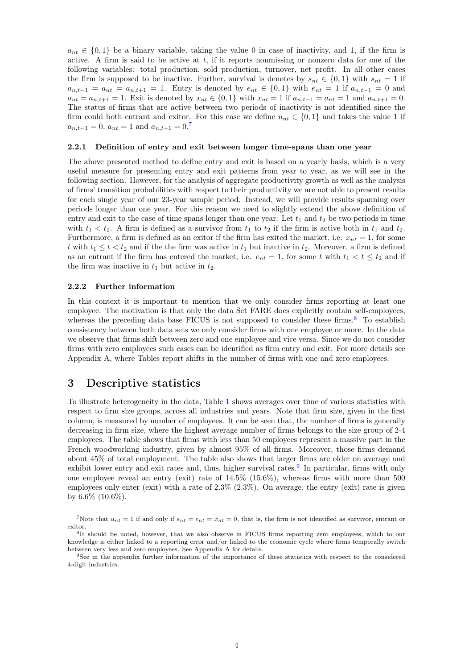$a_{nt} \in \{0,1\}$  be a binary variable, taking the value 0 in case of inactivity, and 1, if the firm is active. A firm is said to be active at t, if it reports nonmissing or nonzero data for one of the following variables: total production, sold production, turnover, net profit. In all other cases the firm is supposed to be inactive. Further, survival is denotes by  $s_{nt} \in \{0,1\}$  with  $s_{nt} = 1$  if  $a_{n,t-1} = a_{nt} = a_{n,t+1} = 1$ . Entry is denoted by  $e_{nt} \in \{0,1\}$  with  $e_{nt} = 1$  if  $a_{n,t-1} = 0$  and  $a_{nt} = a_{n,t+1} = 1$ . Exit is denoted by  $x_{nt} \in \{0,1\}$  with  $x_{nt} = 1$  if  $a_{n,t-1} = a_{nt} = 1$  and  $a_{n,t+1} = 0$ . The status of firms that are active between two periods of inactivity is not identified since the firm could both entrant and exitor. For this case we define  $u_{nt} \in \{0,1\}$  and takes the value 1 if  $a_{n,t-1} = 0, a_{nt} = 1$  and  $a_{n,t+1} = 0.7$  $a_{n,t+1} = 0.7$ 

#### 2.2.1 Definition of entry and exit between longer time-spans than one year

The above presented method to define entry and exit is based on a yearly basis, which is a very useful measure for presenting entry and exit patterns from year to year, as we will see in the following section. However, for the analysis of aggregate productivity growth as well as the analysis of firms' transition probabilities with respect to their productivity we are not able to present results for each single year of our 23-year sample period. Instead, we will provide results spanning over periods longer than one year. For this reason we need to slightly extend the above definition of entry and exit to the case of time spans longer than one year: Let  $t_1$  and  $t_2$  be two periods in time with  $t_1 < t_2$ . A firm is defined as a survivor from  $t_1$  to  $t_2$  if the firm is active both in  $t_1$  and  $t_2$ . Furthermore, a firm is defined as an exitor if the firm has exited the market, i.e.  $x_{nt} = 1$ , for some t with  $t_1 \leq t < t_2$  and if the the firm was active in  $t_1$  but inactive in  $t_2$ . Moreover, a firm is defined as an entrant if the firm has entered the market, i.e.  $e_{nt} = 1$ , for some t with  $t_1 < t \le t_2$  and if the firm was inactive in  $t_1$  but active in  $t_2$ .

#### 2.2.2 Further information

In this context it is important to mention that we only consider firms reporting at least one employee. The motivation is that only the data Set FARE does explicitly contain self-employees, whereas the preceding data base FICUS is not supposed to consider these firms.<sup>[8](#page-4-1)</sup> To establish consistency between both data sets we only consider firms with one employee or more. In the data we observe that firms shift between zero and one employee and vice versa. Since we do not consider firms with zero employees such cases can be identified as firm entry and exit. For more details see Appendix A, where Tables report shifts in the number of firms with one and zero employees.

# <span id="page-4-3"></span>3 Descriptive statistics

To illustrate heterogeneity in the data, Table [1](#page-5-0) shows averages over time of various statistics with respect to firm size groups, across all industries and years. Note that firm size, given in the first column, is measured by number of employees. It can be seen that, the number of firms is generally decreasing in firm size, where the highest average number of firms belongs to the size group of 2-4 employees. The table shows that firms with less than 50 employees represent a massive part in the French woodworking industry, given by almost 95% of all firms. Moreover, those firms demand about 45% of total employment. The table also shows that larger firms are older on average and exhibit lower entry and exit rates and, thus, higher survival rates.<sup>[9](#page-4-2)</sup> In particular, firms with only one employee reveal an entry (exit) rate of 14.5% (15.6%), whereas firms with more than 500 employees only enter (exit) with a rate of  $2.3\%$  (2.3%). On average, the entry (exit) rate is given by  $6.6\%$  (10.6%).

<span id="page-4-0"></span><sup>&</sup>lt;sup>7</sup>Note that  $u_{nt} = 1$  if and only if  $s_{nt} = e_{nt} = x_{nt} = 0$ , that is, the firm is not identified as survivor, entrant or exitor.

<span id="page-4-1"></span><sup>&</sup>lt;sup>8</sup>It should be noted, however, that we also observe in FICUS firms reporting zero employees, which to our knowledge is either linked to a reporting error and/or linked to the economic cycle where firms temporally switch between very less and zero employees. See Appendix A for details.

<span id="page-4-2"></span><sup>&</sup>lt;sup>9</sup>See in the appendix further information of the importance of these statistics with respect to the considered 4-digit industries.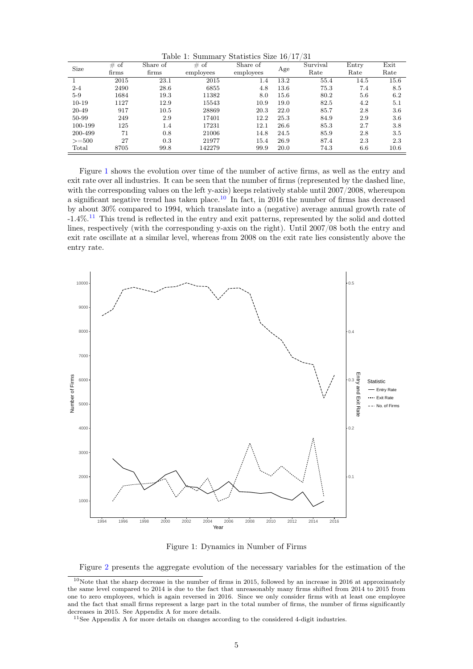<span id="page-5-0"></span>Table 1: Summary Statistics Size 16/17/31

|         | # of  | Share of | $\cdot$<br># of | Share of  |      | Survival | Entry | Exit |
|---------|-------|----------|-----------------|-----------|------|----------|-------|------|
| Size    | firms | firms    | employees       | employees | Age  | Rate     | Rate  | Rate |
|         | 2015  | 23.1     | 2015            | $1.4\,$   | 13.2 | 55.4     | 14.5  | 15.6 |
| $2 - 4$ | 2490  | 28.6     | 6855            | 4.8       | 13.6 | 75.3     | 7.4   | 8.5  |
| $5-9$   | 1684  | 19.3     | 11382           | 8.0       | 15.6 | 80.2     | 5.6   | 6.2  |
| $10-19$ | 1127  | 12.9     | 15543           | 10.9      | 19.0 | 82.5     | 4.2   | 5.1  |
| 20-49   | 917   | 10.5     | 28869           | 20.3      | 22.0 | 85.7     | 2.8   | 3.6  |
| 50-99   | 249   | 2.9      | 17401           | 12.2      | 25.3 | 84.9     | 2.9   | 3.6  |
| 100-199 | 125   | 1.4      | 17231           | 12.1      | 26.6 | 85.3     | 2.7   | 3.8  |
| 200-499 | 71    | 0.8      | 21006           | 14.8      | 24.5 | 85.9     | 2.8   | 3.5  |
| $>=500$ | 27    | 0.3      | 21977           | 15.4      | 26.9 | 87.4     | 2.3   | 2.3  |
| Total   | 8705  | 99.8     | 142279          | 99.9      | 20.0 | 74.3     | 6.6   | 10.6 |

Figure [1](#page-5-1) shows the evolution over time of the number of active firms, as well as the entry and exit rate over all industries. It can be seen that the number of firms (represented by the dashed line, with the corresponding values on the left y-axis) keeps relatively stable until 2007/2008, whereupon a significant negative trend has taken place.<sup>[10](#page-5-2)</sup> In fact, in 2016 the number of firms has decreased by about 30% compared to 1994, which translate into a (negative) average annual growth rate of -1.4%.[11](#page-5-3) This trend is reflected in the entry and exit patterns, represented by the solid and dotted lines, respectively (with the corresponding y-axis on the right). Until 2007/08 both the entry and exit rate oscillate at a similar level, whereas from 2008 on the exit rate lies consistently above the entry rate.



<span id="page-5-1"></span>Figure 1: Dynamics in Number of Firms

<span id="page-5-2"></span>Figure [2](#page-6-2) presents the aggregate evolution of the necessary variables for the estimation of the

<sup>10</sup>Note that the sharp decrease in the number of firms in 2015, followed by an increase in 2016 at approximately the same level compared to 2014 is due to the fact that unreasonably many firms shifted from 2014 to 2015 from one to zero employees, which is again reversed in 2016. Since we only consider firms with at least one employee and the fact that small firms represent a large part in the total number of firms, the number of firms significantly decreases in 2015. See Appendix A for more details.

<span id="page-5-3"></span> $11$ See Appendix A for more details on changes according to the considered 4-digit industries.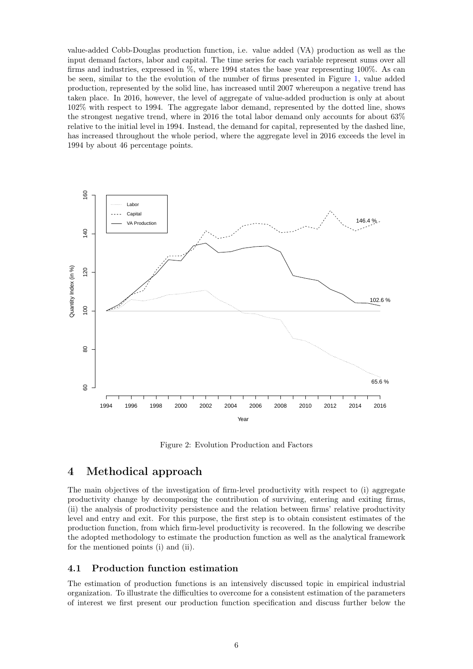value-added Cobb-Douglas production function, i.e. value added (VA) production as well as the input demand factors, labor and capital. The time series for each variable represent sums over all firms and industries, expressed in %, where 1994 states the base year representing 100%. As can be seen, similar to the the evolution of the number of firms presented in Figure [1,](#page-5-1) value added production, represented by the solid line, has increased until 2007 whereupon a negative trend has taken place. In 2016, however, the level of aggregate of value-added production is only at about 102% with respect to 1994. The aggregate labor demand, represented by the dotted line, shows the strongest negative trend, where in 2016 the total labor demand only accounts for about 63% relative to the initial level in 1994. Instead, the demand for capital, represented by the dashed line, has increased throughout the whole period, where the aggregate level in 2016 exceeds the level in 1994 by about 46 percentage points.



<span id="page-6-2"></span>Figure 2: Evolution Production and Factors

# <span id="page-6-0"></span>4 Methodical approach

The main objectives of the investigation of firm-level productivity with respect to (i) aggregate productivity change by decomposing the contribution of surviving, entering and exiting firms, (ii) the analysis of productivity persistence and the relation between firms' relative productivity level and entry and exit. For this purpose, the first step is to obtain consistent estimates of the production function, from which firm-level productivity is recovered. In the following we describe the adopted methodology to estimate the production function as well as the analytical framework for the mentioned points (i) and (ii).

#### <span id="page-6-1"></span>4.1 Production function estimation

The estimation of production functions is an intensively discussed topic in empirical industrial organization. To illustrate the difficulties to overcome for a consistent estimation of the parameters of interest we first present our production function specification and discuss further below the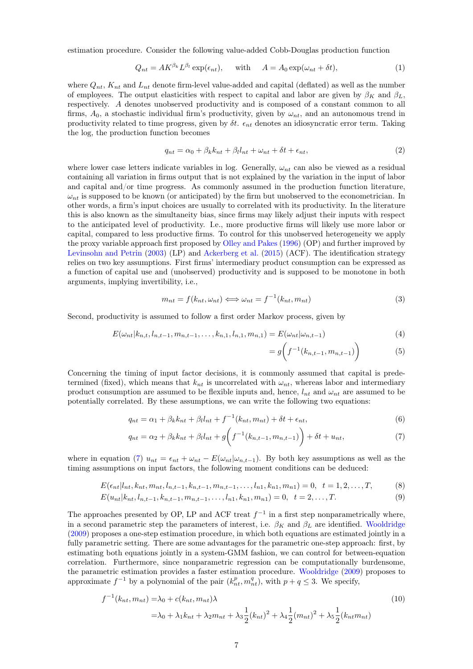estimation procedure. Consider the following value-added Cobb-Douglas production function

$$
Q_{nt} = AK^{\beta_k}L^{\beta_l}\exp(\epsilon_{nt}), \quad \text{with} \quad A = A_0\exp(\omega_{nt} + \delta t), \tag{1}
$$

where  $Q_{nt}$ ,  $K_{nt}$  and  $L_{nt}$  denote firm-level value-added and capital (deflated) as well as the number of employees. The output elasticities with respect to capital and labor are given by  $\beta_K$  and  $\beta_L$ , respectively. A denotes unobserved productivity and is composed of a constant common to all firms,  $A_0$ , a stochastic individual firm's productivity, given by  $\omega_{nt}$ , and an autonomous trend in productivity related to time progress, given by  $\delta t$ .  $\epsilon_{nt}$  denotes an idiosyncratic error term. Taking the log, the production function becomes

<span id="page-7-5"></span>
$$
q_{nt} = \alpha_0 + \beta_k k_{nt} + \beta_l l_{nt} + \omega_{nt} + \delta t + \epsilon_{nt},\tag{2}
$$

where lower case letters indicate variables in log. Generally,  $\omega_{nt}$  can also be viewed as a residual containing all variation in firms output that is not explained by the variation in the input of labor and capital and/or time progress. As commonly assumed in the production function literature,  $\omega_{nt}$  is supposed to be known (or anticipated) by the firm but unobserved to the econometrician. In other words, a firm's input choices are usually to correlated with its productivity. In the literature this is also known as the simultaneity bias, since firms may likely adjust their inputs with respect to the anticipated level of productivity. I.e., more productive firms will likely use more labor or capital, compared to less productive firms. To control for this unobserved heterogeneity we apply the proxy variable approach first proposed by [Olley and Pakes](#page-31-3) [\(1996\)](#page-31-3) (OP) and further improved by [Levinsohn and Petrin](#page-31-6) [\(2003\)](#page-31-6) (LP) and [Ackerberg et al.](#page-30-10) [\(2015\)](#page-30-10) (ACF). The identification strategy relies on two key assumptions. First firms' intermediary product consumption can be expressed as a function of capital use and (unobserved) productivity and is supposed to be monotone in both arguments, implying invertibility, i.e.,

$$
m_{nt} = f(k_{nt}, \omega_{nt}) \Longleftrightarrow \omega_{nt} = f^{-1}(k_{nt}, m_{nt})
$$
\n(3)

Second, productivity is assumed to follow a first order Markov process, given by

$$
E(\omega_{nt}|k_{n,t}, l_{n,t-1}, m_{n,t-1}, \dots, k_{n,1}, l_{n,1}, m_{n,1}) = E(\omega_{nt}|\omega_{n,t-1})
$$
\n(4)

<span id="page-7-4"></span><span id="page-7-3"></span><span id="page-7-2"></span><span id="page-7-1"></span><span id="page-7-0"></span>
$$
= g\bigg(f^{-1}(k_{n,t-1}, m_{n,t-1})\bigg) \tag{5}
$$

Concerning the timing of input factor decisions, it is commonly assumed that capital is predetermined (fixed), which means that  $k_{nt}$  is uncorrelated with  $\omega_{nt}$ , whereas labor and intermediary product consumption are assumed to be flexible inputs and, hence,  $l_{nt}$  and  $\omega_{nt}$  are assumed to be potentially correlated. By these assumptions, we can write the following two equations:

$$
q_{nt} = \alpha_1 + \beta_k k_{nt} + \beta_l l_{nt} + f^{-1}(k_{nt}, m_{nt}) + \delta t + \epsilon_{nt},
$$
\n
$$
(6)
$$

$$
q_{nt} = \alpha_2 + \beta_k k_{nt} + \beta_l l_{nt} + g \bigg( f^{-1}(k_{n,t-1}, m_{n,t-1}) \bigg) + \delta t + u_{nt}, \tag{7}
$$

where in equation ([7](#page-7-0))  $u_{nt} = \epsilon_{nt} + \omega_{nt} - E(\omega_{nt}|\omega_{n,t-1})$ . By both key assumptions as well as the timing assumptions on input factors, the following moment conditions can be deduced:

$$
E(\epsilon_{nt}|l_{nt}, k_{nt}, m_{nt}, l_{n,t-1}, k_{n,t-1}, m_{n,t-1}, \dots, l_{n1}, k_{n1}, m_{n1}) = 0, \quad t = 1, 2, \dots, T,
$$
 (8)

$$
E(u_{nt}|k_{nt}, l_{n,t-1}, k_{n,t-1}, m_{n,t-1}, \dots, l_{n1}, k_{n1}, m_{n1}) = 0, \quad t = 2, \dots, T.
$$
\n(9)

The approaches presented by OP, LP and ACF treat  $f^{-1}$  in a first step nonparametrically where, in a second parametric step the parameters of interest, i.e.  $\beta_K$  and  $\beta_L$  are identified. [Wooldridge](#page-31-0) [\(2009\)](#page-31-0) proposes a one-step estimation procedure, in which both equations are estimated jointly in a fully parametric setting. There are some advantages for the parametric one-step approach: first, by estimating both equations jointly in a system-GMM fashion, we can control for between-equation correlation. Furthermore, since nonparametric regression can be computationally burdensome, the parametric estimation provides a faster estimation procedure. [Wooldridge](#page-31-0) [\(2009\)](#page-31-0) proposes to approximate  $f^{-1}$  by a polynomial of the pair  $(k_{nt}^p, m_{nt}^q)$ , with  $p + q \leq 3$ . We specify,

$$
f^{-1}(k_{nt}, m_{nt}) = \lambda_0 + c(k_{nt}, m_{nt})\lambda
$$
  
=  $\lambda_0 + \lambda_1 k_{nt} + \lambda_2 m_{nt} + \lambda_3 \frac{1}{2} (k_{nt})^2 + \lambda_4 \frac{1}{2} (m_{nt})^2 + \lambda_5 \frac{1}{2} (k_{nt} m_{nt})$  (10)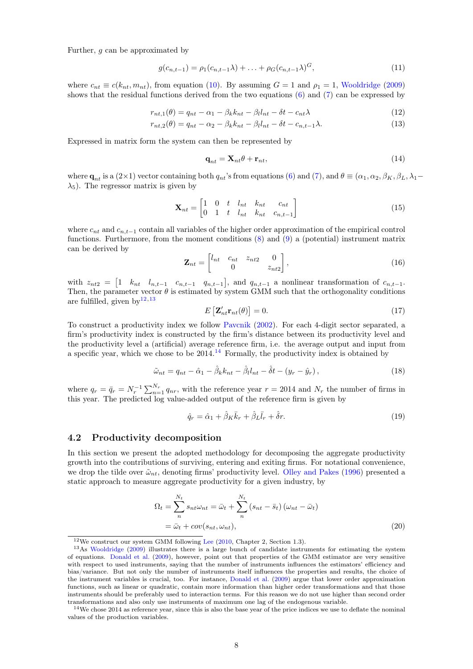Further, g can be approximated by

$$
g(c_{n,t-1}) = \rho_1(c_{n,t-1}\lambda) + \ldots + \rho_G(c_{n,t-1}\lambda)^G,
$$
\n(11)

where  $c_{nt} \equiv c(k_{nt}, m_{nt})$ , from equation [\(10\)](#page-7-1). By assuming  $G = 1$  and  $\rho_1 = 1$ , [Wooldridge](#page-31-0) [\(2009\)](#page-31-0) shows that the residual functions derived from the two equations [\(6\)](#page-7-2) and [\(7\)](#page-7-0) can be expressed by

$$
r_{nt,1}(\theta) = q_{nt} - \alpha_1 - \beta_k k_{nt} - \beta_l l_{nt} - \delta t - c_{nt} \lambda \tag{12}
$$

$$
r_{nt,2}(\theta) = q_{nt} - \alpha_2 - \beta_k k_{nt} - \beta_l l_{nt} - \delta t - c_{n,t-1} \lambda.
$$
\n(13)

Expressed in matrix form the system can then be represented by

$$
\mathbf{q}_{nt} = \mathbf{X}_{nt} \theta + \mathbf{r}_{nt},\tag{14}
$$

where  $\mathbf{q}_{nt}$  is a (2×1) vector containing both  $q_{nt}$ 's from equations [\(6\)](#page-7-2) and [\(7\)](#page-7-0), and  $\theta \equiv (\alpha_1, \alpha_2, \beta_K, \beta_L, \lambda_1$ - $\lambda_5$ ). The regressor matrix is given by

$$
\mathbf{X}_{nt} = \begin{bmatrix} 1 & 0 & t & l_{nt} & k_{nt} & c_{nt} \\ 0 & 1 & t & l_{nt} & k_{nt} & c_{n,t-1} \end{bmatrix}
$$
(15)

where  $c_{nt}$  and  $c_{n,t-1}$  contain all variables of the higher order approximation of the empirical control functions. Furthermore, from the moment conditions [\(8\)](#page-7-3) and [\(9\)](#page-7-4) a (potential) instrument matrix can be derived by

$$
\mathbf{Z}_{nt} = \begin{bmatrix} l_{nt} & c_{nt} & z_{nt2} & 0 \\ 0 & z_{nt2} & 0 \end{bmatrix}, \tag{16}
$$

with  $z_{nt2} = \begin{bmatrix} 1 & k_{nt} & l_{n,t-1} & c_{n,t-1} & q_{n,t-1} \end{bmatrix}$ , and  $q_{n,t-1}$  a nonlinear transformation of  $c_{n,t-1}$ . Then, the parameter vector  $\theta$  is estimated by system GMM such that the orthogonality conditions are fulfilled, given by  $12,13$  $12,13$  $12,13$ 

$$
E\left[\mathbf{Z}_{nt}^{\prime}\mathbf{r}_{nt}(\theta)\right] = 0.\tag{17}
$$

To construct a productivity index we follow [Pavcnik](#page-31-4) [\(2002\)](#page-31-4). For each 4-digit sector separated, a firm's productivity index is constructed by the firm's distance between its productivity level and the productivity level a (artificial) average reference firm, i.e. the average output and input from a specific year, which we chose to be  $2014<sup>14</sup>$  $2014<sup>14</sup>$  $2014<sup>14</sup>$  Formally, the productivity index is obtained by

$$
\tilde{\omega}_{nt} = q_{nt} - \hat{\alpha}_1 - \hat{\beta}_k k_{nt} - \hat{\beta}_l l_{nt} - \hat{\delta}_l - (y_r - \hat{y}_r),
$$
\n(18)

where  $q_r = \bar{q}_r = N_r^{-1} \sum_{n=1}^{N_r} q_{nr}$ , with the reference year  $r = 2014$  and  $N_r$  the number of firms in this year. The predicted log value-added output of the reference firm is given by

$$
\hat{q}_r = \hat{\alpha}_1 + \hat{\beta}_K \bar{k}_r + \hat{\beta}_L \bar{l}_r + \hat{\delta}r.
$$
\n(19)

#### <span id="page-8-0"></span>4.2 Productivity decomposition

In this section we present the adopted methodology for decomposing the aggregate productivity growth into the contributions of surviving, entering and exiting firms. For notational convenience, we drop the tilde over  $\tilde{\omega}_{nt}$ , denoting firms' productivity level. [Olley and Pakes](#page-31-3) [\(1996\)](#page-31-3) presented a static approach to measure aggregate productivity for a given industry, by

$$
\Omega_t = \sum_{n}^{N_t} s_{nt} \omega_{nt} = \bar{\omega}_t + \sum_{n}^{N_t} (s_{nt} - \bar{s}_t) (\omega_{nt} - \bar{\omega}_t)
$$

$$
= \bar{\omega}_t + cov(s_{nt}, \omega_{nt}),
$$
(20)

<span id="page-8-2"></span><span id="page-8-1"></span> $12$ We construct our system GMM following [Lee](#page-30-11) [\(2010,](#page-30-11) Chapter 2, Section 1.3).

<sup>13</sup>As [Wooldridge](#page-31-0) [\(2009\)](#page-31-0) illustrates there is a large bunch of candidate instruments for estimating the system of equations. [Donald et al.](#page-30-12) [\(2009\)](#page-30-12), however, point out that properties of the GMM estimator are very sensitive with respect to used instruments, saying that the number of instruments influences the estimators' efficiency and bias/variance. But not only the number of instruments itself influences the properties and results, the choice of the instrument variables is crucial, too. For instance, [Donald et al.](#page-30-12) [\(2009\)](#page-30-12) argue that lower order approximation functions, such as linear or quadratic, contain more information than higher order transformations and that those instruments should be preferably used to interaction terms. For this reason we do not use higher than second order transformations and also only use instruments of maximum one lag of the endogenous variable.

<span id="page-8-3"></span><sup>14</sup>We chose 2014 as reference year, since this is also the base year of the price indices we use to deflate the nominal values of the production variables.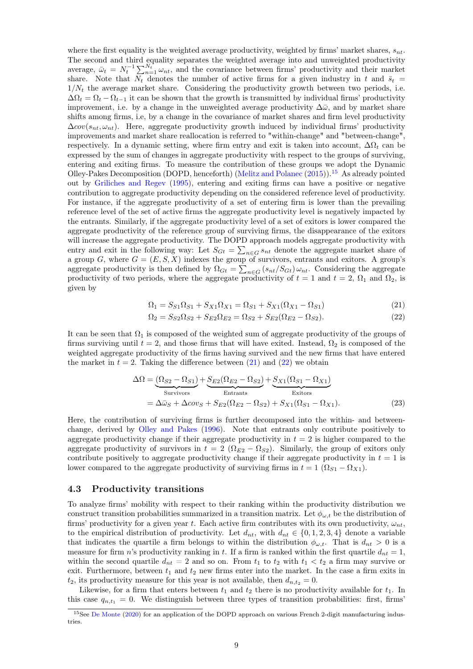where the first equality is the weighted average productivity, weighted by firms' market shares,  $s_{nt}$ . The second and third equality separates the weighted average into and unweighted productivity average,  $\bar{\omega}_t = N_t^{-1} \sum_{n=1}^{N_t} \omega_{nt}$ , and the covariance between firms' productivity and their market share. Note that  $N_t$  denotes the number of active firms for a given industry in t and  $\bar{s}_t$  =  $1/N_t$  the average market share. Considering the productivity growth between two periods, i.e.  $\Delta\Omega_t = \Omega_t - \Omega_{t-1}$  it can be shown that the growth is transmitted by individual firms' productivity improvement, i.e. by a change in the unweighted average productivity  $\Delta\bar{\omega}$ , and by market share shifts among firms, i.e, by a change in the covariance of market shares and firm level productivity  $\Delta cov(s_{nt}, \omega_{nt})$ . Here, aggregate productivity growth induced by individual firms' productivity improvements and market share reallocation is referred to "within-change" and "between-change", respectively. In a dynamic setting, where firm entry and exit is taken into account,  $\Delta\Omega_t$  can be expressed by the sum of changes in aggregate productivity with respect to the groups of surviving, entering and exiting firms. To measure the contribution of these groups we adopt the Dynamic Olley-Pakes Decomposition (DOPD, henceforth) [\(Melitz and Polanec](#page-31-1) [\(2015\)](#page-31-1)).<sup>[15](#page-9-1)</sup> As already pointed out by [Griliches and Regev](#page-30-4) [\(1995\)](#page-30-4), entering and exiting firms can have a positive or negative contribution to aggregate productivity depending on the considered reference level of productivity. For instance, if the aggregate productivity of a set of entering firm is lower than the prevailing reference level of the set of active firms the aggregate productivity level is negatively impacted by the entrants. Similarly, if the aggregate productivity level of a set of exitors is lower compared the aggregate productivity of the reference group of surviving firms, the disappearance of the exitors will increase the aggregate productivity. The DOPD approach models aggregate productivity with entry and exit in the following way: Let  $S_{Gt} = \sum_{n \in G} s_{nt}$  denote the aggregate market share of a group G, where  $G = (E, S, X)$  indexes the group of survivors, entrants and exitors. A group's aggregate productivity is then defined by  $\Omega_{Gt} = \sum_{n \in G} (s_{nt}/S_{Gt}) \omega_{nt}$ . Considering the aggregate productivity of two periods, where the aggregate productivity of  $t = 1$  and  $t = 2$ ,  $\Omega_1$  and  $\Omega_2$ , is given by

$$
\Omega_1 = S_{S1}\Omega_{S1} + S_{X1}\Omega_{X1} = \Omega_{S1} + S_{X1}(\Omega_{X1} - \Omega_{S1})
$$
\n(21)

<span id="page-9-4"></span><span id="page-9-3"></span><span id="page-9-2"></span>
$$
\Omega_2 = S_{S2}\Omega_{S2} + S_{E2}\Omega_{E2} = \Omega_{S2} + S_{E2}(\Omega_{E2} - \Omega_{S2}).
$$
\n(22)

It can be seen that  $\Omega_1$  is composed of the weighted sum of aggregate productivity of the groups of firms surviving until  $t = 2$ , and those firms that will have exited. Instead,  $\Omega_2$  is composed of the weighted aggregate productivity of the firms having survived and the new firms that have entered the market in  $t = 2$ . Taking the difference between [\(21\)](#page-9-2) and [\(22\)](#page-9-3) we obtain

$$
\Delta\Omega = \underbrace{(\Omega_{S2} - \Omega_{S1})}_{\text{Survivors}} + \underbrace{S_{E2}(\Omega_{E2} - \Omega_{S2})}_{\text{Entrants}} + \underbrace{S_{X1}(\Omega_{S1} - \Omega_{X1})}_{\text{Exttors}}
$$
\n
$$
= \Delta\bar{\omega}_S + \Delta\cos_S + S_{E2}(\Omega_{E2} - \Omega_{S2}) + S_{X1}(\Omega_{S1} - \Omega_{X1}).
$$
\n(23)

Here, the contribution of surviving firms is further decomposed into the within- and betweenchange, derived by [Olley and Pakes](#page-31-3) [\(1996\)](#page-31-3). Note that entrants only contribute positively to aggregate productivity change if their aggregate productivity in  $t = 2$  is higher compared to the aggregate productivity of survivors in  $t = 2$  ( $\Omega_{E2} - \Omega_{S2}$ ). Similarly, the group of exitors only contribute positively to aggregate productivity change if their aggregate productivity in  $t = 1$  is lower compared to the aggregate productivity of surviving firms in  $t = 1$  ( $\Omega_{S1} - \Omega_{X1}$ ).

#### <span id="page-9-0"></span>4.3 Productivity transitions

To analyze firms' mobility with respect to their ranking within the productivity distribution we construct transition probabilities summarized in a transition matrix. Let  $\phi_{\omega,t}$  be the distribution of firms' productivity for a given year t. Each active firm contributes with its own productivity,  $\omega_{nt}$ , to the empirical distribution of productivity. Let  $d_{nt}$ , with  $d_{nt} \in \{0, 1, 2, 3, 4\}$  denote a variable that indicates the quartile a firm belongs to within the distribution  $\phi_{\omega,t}$ . That is  $d_{nt} > 0$  is a measure for firm n's productivity ranking in t. If a firm is ranked within the first quartile  $d_{nt} = 1$ , within the second quartile  $d_{nt} = 2$  and so on. From  $t_1$  to  $t_2$  with  $t_1 < t_2$  a firm may survive or exit. Furthermore, between  $t_1$  and  $t_2$  new firms enter into the market. In the case a firm exits in  $t_2$ , its productivity measure for this year is not available, then  $d_{n,t_2} = 0$ .

Likewise, for a firm that enters between  $t_1$  and  $t_2$  there is no productivity available for  $t_1$ . In this case  $q_{n,t_1} = 0$ . We distinguish between three types of transition probabilities: first, firms

<span id="page-9-1"></span><sup>15</sup>See [De Monte](#page-30-8) [\(2020\)](#page-30-8) for an application of the DOPD approach on various French 2-digit manufacturing industries.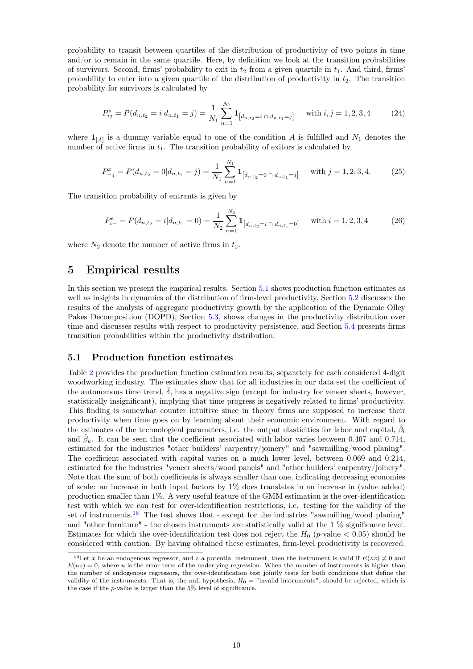probability to transit between quartiles of the distribution of productivity of two points in time and/or to remain in the same quartile. Here, by definition we look at the transition probabilities of survivors. Second, firms' probability to exit in  $t_2$  from a given quartile in  $t_1$ . And third, firms' probability to enter into a given quartile of the distribution of productivity in  $t_2$ . The transition probability for survivors is calculated by

$$
P_{ij}^s = P(d_{n,t_2} = i | d_{n,t_1} = j) = \frac{1}{N_1} \sum_{n=1}^{N_1} \mathbf{1}_{\left[d_{n,t_2} = i \cap d_{n,t_1} = j\right]} \quad \text{with } i, j = 1, 2, 3, 4 \tag{24}
$$

where  $\mathbf{1}_{[A]}$  is a dummy variable equal to one of the condition A is fulfilled and  $N_1$  denotes the number of active firms in  $t_1$ . The transition probability of exitors is calculated by

$$
P_{-j}^{x} = P(d_{n,t_2} = 0 | d_{n,t_1} = j) = \frac{1}{N_1} \sum_{n=1}^{N_1} \mathbf{1}_{\left[d_{n,t_2} = 0 \cap d_{n,t_1} = j\right]} \quad \text{with } j = 1,2,3,4. \tag{25}
$$

The transition probability of entrants is given by

$$
P_{i-}^{e} = P(d_{n,t_2} = i | d_{n,t_1} = 0) = \frac{1}{N_2} \sum_{n=1}^{N_2} \mathbf{1}_{\left[d_{n,t_2} = i \cap d_{n,t_1} = 0\right]} \quad \text{with } i = 1,2,3,4 \tag{26}
$$

where  $N_2$  denote the number of active firms in  $t_2$ .

# <span id="page-10-0"></span>5 Empirical results

In this section we present the empirical results. Section [5.1](#page-10-1) shows production function estimates as well as insights in dynamics of the distribution of firm-level productivity, Section [5.2](#page-11-0) discusses the results of the analysis of aggregate productivity growth by the application of the Dynamic Olley Pakes Decomposition (DOPD), Section [5.3,](#page-17-0) shows changes in the productivity distribution over time and discusses results with respect to productivity persistence, and Section [5.4](#page-18-0) presents firms transition probabilities within the productivity distribution.

#### <span id="page-10-1"></span>5.1 Production function estimates

Table [2](#page-11-1) provides the production function estimation results, separately for each considered 4-digit woodworking industry. The estimates show that for all industries in our data set the coefficient of the autonomous time trend,  $\delta$ , has a negative sign (except for industry for veneer sheets, however, statistically insignificant), implying that time progress is negatively related to firms' productivity. This finding is somewhat counter intuitive since in theory firms are supposed to increase their productivity when time goes on by learning about their economic environment. With regard to the estimates of the technological parameters, i.e. the output elasticities for labor and capital,  $\hat{\beta}_l$ and  $\hat{\beta}_k$ . It can be seen that the coefficient associated with labor varies between 0.467 and 0.714, estimated for the industries "other builders' carpentry/joinery" and "sawmilling/wood planing". The coefficient associated with capital varies on a much lower level, between 0.069 and 0.214, estimated for the industries "veneer sheets/wood panels" and "other builders' carpentry/joinery". Note that the sum of both coefficients is always smaller than one, indicating decreasing economies of scale: an increase in both input factors by 1% does translates in an increase in (value added) production smaller than 1%. A very useful feature of the GMM estimation is the over-identification test with which we can test for over-identification restrictions, i.e. testing for the validity of the set of instruments.<sup>[16](#page-10-2)</sup> The test shows that - except for the industries "sawmilling/wood planing" and "other furniture" - the chosen instruments are statistically valid at the 1 % significance level. Estimates for which the over-identification test does not reject the  $H_0$  (p-value  $< 0.05$ ) should be considered with caution. By having obtained these estimates, firm-level productivity is recovered.

<span id="page-10-2"></span><sup>&</sup>lt;sup>16</sup>Let x be an endogenous regressor, and z a potential instrument, then the instrument is valid if  $E(zx) \neq 0$  and  $E(uz) = 0$ , where u is the error term of the underlying regression. When the number of instruments is higher than the number of endogenous regressors, the over-identification test jointly tests for both conditions that define the validity of the instruments. That is, the null hypothesis,  $H_0 =$  "invalid instruments", should be rejected, which is the case if the p-value is larger than the 5% level of significance.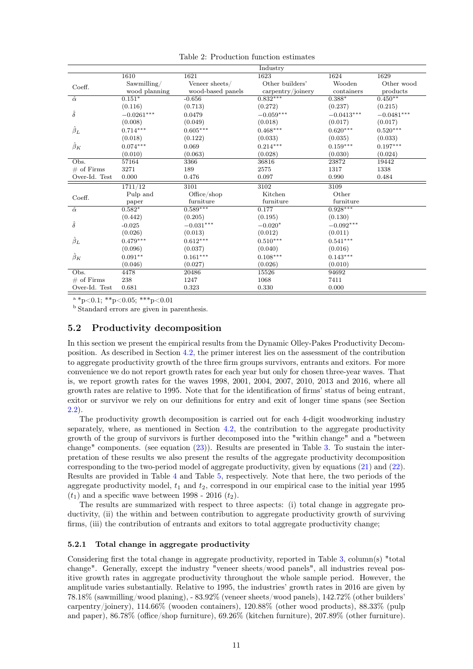|                 |               |                   | Industry                          |                 |              |
|-----------------|---------------|-------------------|-----------------------------------|-----------------|--------------|
|                 | 1610          | 1621              | 1623                              | 1624            | 1629         |
| Coeff.          | Sawmilling/   | Veneer sheets/    | Other builders'                   | Wooden          | Other wood   |
|                 | wood planning | wood-based panels | $\text{carpentry}/\text{joinery}$ | containers      | products     |
| $\hat{\alpha}$  | $0.151*$      | $-0.656$          | $0.832***$                        | $0.388*$        | $0.450**$    |
|                 | (0.116)       | (0.713)           | (0.272)                           | (0.237)         | (0.215)      |
| $\hat{\delta}$  | $-0.0261***$  | 0.0479            | $-0.059***$                       | $-0.0413***$    | $-0.0481***$ |
|                 | (0.008)       | (0.049)           | (0.018)                           | (0.017)         | (0.017)      |
| $\hat{\beta}_L$ | $0.714***$    | $0.605^{***}\,$   | $0.468***$                        | $0.620^{***}\,$ | $0.520***$   |
|                 | (0.018)       | (0.122)           | (0.033)                           | (0.035)         | (0.033)      |
| $\hat{\beta}_K$ | $0.074***$    | 0.069             | $0.214***$                        | $0.159***$      | $0.197***$   |
|                 | (0.010)       | (0.063)           | (0.028)                           | (0.030)         | (0.024)      |
| Obs.            | 57164         | 3366              | 36816                             | 23872           | 19442        |
| $\#$ of Firms   | 3271          | 189               | 2575                              | 1317            | 1338         |
| Over-Id. Test   | 0.000         | 0.476             | 0.097                             | 0.990           | 0.484        |
|                 | 1711/12       | 3101              | 3102                              | 3109            |              |
| Coeff.          | Pulp and      | Office/shop       | Kitchen                           | Other           |              |
|                 | paper         | furniture         | furniture                         | furniture       |              |
| $\hat{\alpha}$  | $0.582*$      | $0.589***$        | 0.177                             | $0.928***$      |              |
|                 | (0.442)       | (0.205)           | (0.195)                           | (0.130)         |              |
| $\hat{\delta}$  | $-0.025$      | $-0.031***$       | $-0.020*$                         | $-0.092***$     |              |
|                 | (0.026)       | (0.013)           | (0.012)                           | (0.011)         |              |
| $\hat{\beta}_L$ | $0.479***$    | $0.612***$        | $0.510***$                        | $0.541***$      |              |
|                 | (0.096)       | (0.037)           | (0.040)                           | (0.016)         |              |
| $\hat{\beta}_K$ | $0.091**$     | $0.161***$        | $0.108***$                        | $0.143***$      |              |
|                 | (0.046)       | (0.027)           | (0.026)                           | (0.010)         |              |
| Obs.            | 4478          | 20486             | 15526                             | 94692           |              |
| $\#$ of Firms   | 238           | 1247              | 1068                              | 7411            |              |
| Over-Id. Test   | 0.681         | 0.323             | 0.330                             | 0.000           |              |

<span id="page-11-1"></span>Table 2: Production function estimates

 $a * p < 0.1; * * p < 0.05; * * * p < 0.01$ 

<sup>b</sup> Standard errors are given in parenthesis.

#### <span id="page-11-0"></span>5.2 Productivity decomposition

In this section we present the empirical results from the Dynamic Olley-Pakes Productivity Decomposition. As described in Section [4.2,](#page-8-0) the primer interest lies on the assessment of the contribution to aggregate productivity growth of the three firm groups survivors, entrants and exitors. For more convenience we do not report growth rates for each year but only for chosen three-year waves. That is, we report growth rates for the waves 1998, 2001, 2004, 2007, 2010, 2013 and 2016, where all growth rates are relative to 1995. Note that for the identification of firms' status of being entrant, exitor or survivor we rely on our definitions for entry and exit of longer time spans (see Section [2.2\)](#page-3-3).

The productivity growth decomposition is carried out for each 4-digit woodworking industry separately, where, as mentioned in Section [4.2,](#page-8-0) the contribution to the aggregate productivity growth of the group of survivors is further decomposed into the "within change" and a "between change" components. (see equation [\(23\)](#page-9-4)). Results are presented in Table [3.](#page-14-0) To sustain the interpretation of these results we also present the results of the aggregate productivity decomposition corresponding to the two-period model of aggregate productivity, given by equations [\(21\)](#page-9-2) and [\(22\)](#page-9-3). Results are provided in Table [4](#page-15-0) and Table [5,](#page-16-0) respectively. Note that here, the two periods of the aggregate productivity model,  $t_1$  and  $t_2$ , correspond in our empirical case to the initial year 1995  $(t_1)$  and a specific wave between 1998 - 2016  $(t_2)$ .

The results are summarized with respect to three aspects: (i) total change in aggregate productivity, (ii) the within and between contribution to aggregate productivity growth of surviving firms, (iii) the contribution of entrants and exitors to total aggregate productivity change;

#### 5.2.1 Total change in aggregate productivity

Considering first the total change in aggregate productivity, reported in Table [3,](#page-14-0) column(s) "total change". Generally, except the industry "veneer sheets/wood panels", all industries reveal positive growth rates in aggregate productivity throughout the whole sample period. However, the amplitude varies substantially. Relative to 1995, the industries' growth rates in 2016 are given by 78.18% (sawmilling/wood planing), - 83.92% (veneer sheets/wood panels), 142.72% (other builders' carpentry/joinery), 114.66% (wooden containers), 120.88% (other wood products), 88.33% (pulp and paper), 86.78% (office/shop furniture), 69.26% (kitchen furniture), 207.89% (other furniture).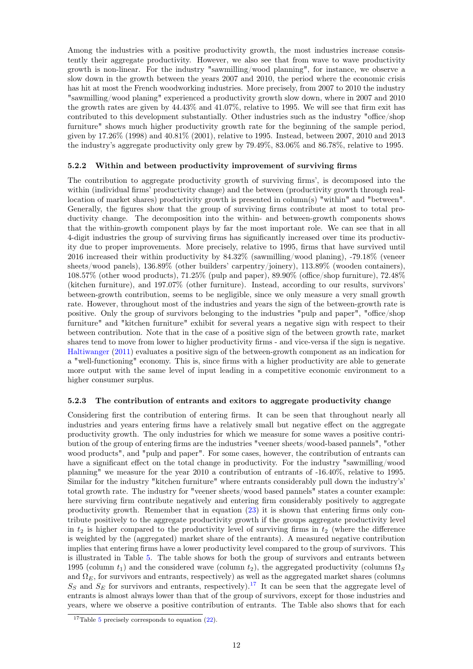Among the industries with a positive productivity growth, the most industries increase consistently their aggregate productivity. However, we also see that from wave to wave productivity growth is non-linear. For the industry "sawmilling/wood planning", for instance, we observe a slow down in the growth between the years 2007 and 2010, the period where the economic crisis has hit at most the French woodworking industries. More precisely, from 2007 to 2010 the industry "sawmilling/wood planing" experienced a productivity growth slow down, where in 2007 and 2010 the growth rates are given by 44.43% and 41.07%, relative to 1995. We will see that firm exit has contributed to this development substantially. Other industries such as the industry "office/shop furniture" shows much higher productivity growth rate for the beginning of the sample period, given by 17.26% (1998) and 40.81% (2001), relative to 1995. Instead, between 2007, 2010 and 2013 the industry's aggregate productivity only grew by 79.49%, 83.06% and 86.78%, relative to 1995.

#### 5.2.2 Within and between productivity improvement of surviving firms

The contribution to aggregate productivity growth of surviving firms', is decomposed into the within (individual firms' productivity change) and the between (productivity growth through reallocation of market shares) productivity growth is presented in column(s) "within" and "between". Generally, the figures show that the group of surviving firms contribute at most to total productivity change. The decomposition into the within- and between-growth components shows that the within-growth component plays by far the most important role. We can see that in all 4-digit industries the group of surviving firms has significantly increased over time its productivity due to proper improvements. More precisely, relative to 1995, firms that have survived until 2016 increased their within productivity by 84.32% (sawmilling/wood planing), -79.18% (veneer sheets/wood panels), 136.89% (other builders' carpentry/joinery), 113.89% (wooden containers), 108.57% (other wood products), 71.25% (pulp and paper), 89.90% (office/shop furniture), 72.48% (kitchen furniture), and 197.07% (other furniture). Instead, according to our results, survivors' between-growth contribution, seems to be negligible, since we only measure a very small growth rate. However, throughout most of the industries and years the sign of the between-growth rate is positive. Only the group of survivors belonging to the industries "pulp and paper", "office/shop furniture" and "kitchen furniture" exhibit for several years a negative sign with respect to their between contribution. Note that in the case of a positive sign of the between growth rate, market shares tend to move from lower to higher productivity firms - and vice-versa if the sign is negative. [Haltiwanger](#page-30-13) [\(2011\)](#page-30-13) evaluates a positive sign of the between-growth component as an indication for a "well-functioning" economy. This is, since firms with a higher productivity are able to generate more output with the same level of input leading in a competitive economic environment to a higher consumer surplus.

#### 5.2.3 The contribution of entrants and exitors to aggregate productivity change

Considering first the contribution of entering firms. It can be seen that throughout nearly all industries and years entering firms have a relatively small but negative effect on the aggregate productivity growth. The only industries for which we measure for some waves a positive contribution of the group of entering firms are the industries "veener sheets/wood-based pannels", "other wood products", and "pulp and paper". For some cases, however, the contribution of entrants can have a significant effect on the total change in productivity. For the industry "sawmilling/wood planning" we measure for the year 2010 a contribution of entrants of -16.40%, relative to 1995. Similar for the industry "kitchen furniture" where entrants considerably pull down the industry's' total growth rate. The industry for "veener sheets/wood based pannels" states a counter example: here surviving firm contribute negatively and entering firm considerably positively to aggregate productivity growth. Remember that in equation [\(23\)](#page-9-4) it is shown that entering firms only contribute positively to the aggregate productivity growth if the groups aggregate productivity level in  $t_2$  is higher compared to the productivity level of surviving firms in  $t_2$  (where the difference is weighted by the (aggregated) market share of the entrants). A measured negative contribution implies that entering firms have a lower productivity level compared to the group of survivors. This is illustrated in Table [5.](#page-16-0) The table shows for both the group of survivors and entrants between 1995 (column  $t_1$ ) and the considered wave (column  $t_2$ ), the aggregated productivity (columns  $\Omega_S$ and  $\Omega_E$ , for survivors and entrants, respectively) as well as the aggregated market shares (columns  $S<sub>S</sub>$  and  $S<sub>E</sub>$  for survivors and entrants, respectively).<sup>[17](#page-12-0)</sup> It can be seen that the aggregate level of entrants is almost always lower than that of the group of survivors, except for those industries and years, where we observe a positive contribution of entrants. The Table also shows that for each

<span id="page-12-0"></span><sup>&</sup>lt;sup>17</sup>Table [5](#page-16-0) precisely corresponds to equation  $(22)$ .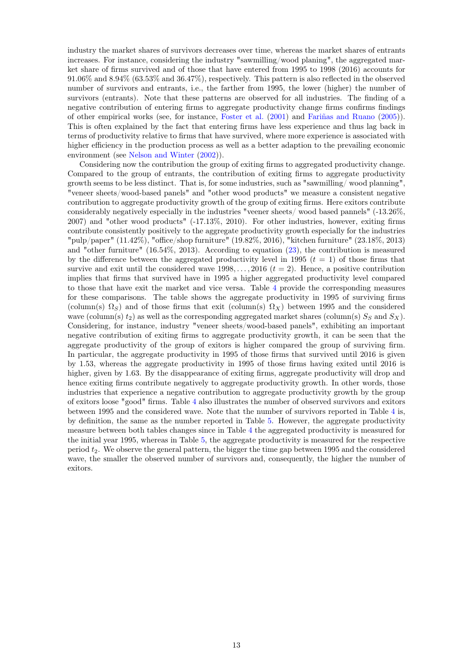industry the market shares of survivors decreases over time, whereas the market shares of entrants increases. For instance, considering the industry "sawmilling/wood planing", the aggregated market share of firms survived and of those that have entered from 1995 to 1998 (2016) accounts for 91.06% and 8.94% (63.53% and 36.47%), respectively. This pattern is also reflected in the observed number of survivors and entrants, i.e., the farther from 1995, the lower (higher) the number of survivors (entrants). Note that these patterns are observed for all industries. The finding of a negative contribution of entering firms to aggregate productivity change firms confirms findings of other empirical works (see, for instance, [Foster et al.](#page-30-14) [\(2001\)](#page-30-14) and [Fariñas and Ruano](#page-30-15) [\(2005\)](#page-30-15)). This is often explained by the fact that entering firms have less experience and thus lag back in terms of productivity relative to firms that have survived, where more experience is associated with higher efficiency in the production process as well as a better adaption to the prevailing economic environment (see [Nelson and Winter](#page-31-7) [\(2002\)](#page-31-7)).

Considering now the contribution the group of exiting firms to aggregated productivity change. Compared to the group of entrants, the contribution of exiting firms to aggregate productivity growth seems to be less distinct. That is, for some industries, such as "sawmilling/ wood planning", "veneer sheets/wood-based panels" and "other wood products" we measure a consistent negative contribution to aggregate productivity growth of the group of exiting firms. Here exitors contribute considerably negatively especially in the industries "veener sheets/ wood based pannels" (-13.26%, 2007) and "other wood products" (-17.13%, 2010). For other industries, however, exiting firms contribute consistently positively to the aggregate productivity growth especially for the industries "pulp/paper" (11.42%), "office/shop furniture" (19.82%, 2016), "kitchen furniture" (23.18%, 2013) and "other furniture" (16.54%, 2013). According to equation [\(23\)](#page-9-4), the contribution is measured by the difference between the aggregated productivity level in 1995  $(t = 1)$  of those firms that survive and exit until the considered wave  $1998, \ldots, 2016$  ( $t = 2$ ). Hence, a positive contribution implies that firms that survived have in 1995 a higher aggregated productivity level compared to those that have exit the market and vice versa. Table [4](#page-15-0) provide the corresponding measures for these comparisons. The table shows the aggregate productivity in 1995 of surviving firms (column(s)  $\Omega_S$ ) and of those firms that exit (column(s)  $\Omega_X$ ) between 1995 and the considered wave (column(s)  $t_2$ ) as well as the corresponding aggregated market shares (column(s)  $S_S$  and  $S_X$ ). Considering, for instance, industry "veneer sheets/wood-based panels", exhibiting an important negative contribution of exiting firms to aggregate productivity growth, it can be seen that the aggregate productivity of the group of exitors is higher compared the group of surviving firm. In particular, the aggregate productivity in 1995 of those firms that survived until 2016 is given by 1.53, whereas the aggregate productivity in 1995 of those firms having exited until 2016 is higher, given by 1.63. By the disappearance of exiting firms, aggregate productivity will drop and hence exiting firms contribute negatively to aggregate productivity growth. In other words, those industries that experience a negative contribution to aggregate productivity growth by the group of exitors loose "good" firms. Table [4](#page-15-0) also illustrates the number of observed survivors and exitors between 1995 and the considered wave. Note that the number of survivors reported in Table [4](#page-15-0) is, by definition, the same as the number reported in Table [5.](#page-16-0) However, the aggregate productivity measure between both tables changes since in Table [4](#page-15-0) the aggregated productivity is measured for the initial year 1995, whereas in Table [5,](#page-16-0) the aggregate productivity is measured for the respective period  $t_2$ . We observe the general pattern, the bigger the time gap between 1995 and the considered wave, the smaller the observed number of survivors and, consequently, the higher the number of exitors.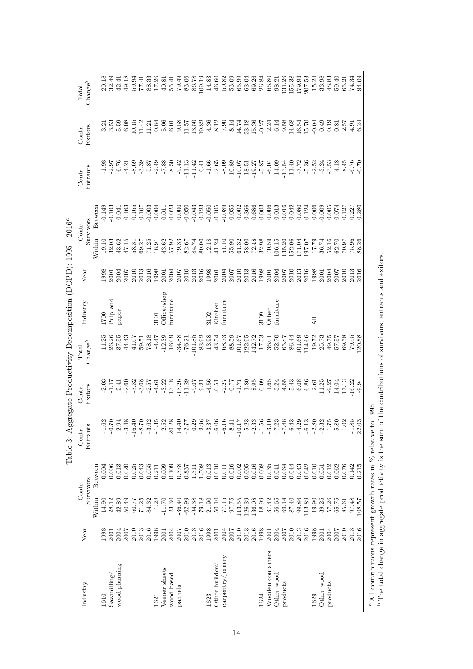<span id="page-14-0"></span>

|                                                                                | Change <sup>b</sup><br>Total<br>Exitors<br>Contr.<br>Entrants<br>Contr. | Between | 20.18<br>$\begin{array}{c} 71.68 \\ 73.68 \\ 0.08 \end{array}$<br>$-1.98$<br>$-2.97$<br>$-7.6$<br>$-0.149$ | 32.49      | 42.41<br>$-0.103$<br>$-0.041$<br>$0.163$<br>$0.165$<br>$0.107$<br>$-0.003$ | $-4.21$ | 10.15 | $\frac{11.42}{11.21}$            |       | 0.84<br>$-8.38$<br>$-8.38$<br>$-8.39$<br>$-8.39$<br>$-8.39$<br>$-8.39$<br>$-8.39$<br>$-8.39$<br>$-8.39$<br>$-8.39$<br>$-8.39$<br>$-8.39$<br>$-8.39$<br>$-8.39$<br>$-8.39$<br>0.004 | $40.81$<br>55.41<br>5.06 | $6.01$<br>9.58<br>$\begin{array}{c} 0.011 \\ -0.023 \\ 0.000 \\ -0.050 \\ \end{array}$ | 79.49                         | 83.06<br>86.78 |          | 109.19   | 14.83   | 46.60<br>$\begin{array}{l} 11.57 \\ 13.50 \\ 19.38 \\ 4.36 \\ 7.90 \\ 8.14 \end{array}$<br>$-1.66$<br>$-1.66$<br>$-1.9$<br>$-8.09$<br>$-0.123$<br>$-0.050$<br>$-0.105$<br>$-0.059$<br>$-0.055$                                                                                                                                                                                                           | $50.82$<br>$53.09$ |       | 65.99<br>14.74<br>0.002 | 63.04<br>0.366        | 69.26  | 26.84          | 66.80<br>$\begin{array}{r} 23.38 \\ 15.37 \\ -0.21 \\ 6.58 \\ \hline \end{array}$<br>$\begin{array}{c} 0.686 \\ 0.003 \\ 0.006 \\ 0.013 \\ 0.014 \\ 0.008 \\ 0.014 \\ 0.030 \\ 0.0124 \\ \end{array}$ | 98.21                   | 131.26   | 155.38              | 179.94<br>207.53<br>14.68<br>16.54<br>15.70         |        | 15.24<br>$-0.04$<br>0.006 | 33.98<br>0.49<br>0.009 | $\begin{array}{c} 48.83 \\ 59.40 \\ 65.21 \end{array}$<br>0.19<br>0.005 | 0.81<br>0.074 | 2.57<br>0.127 | 74.34<br>$4.91$<br>6.24<br>0.227 | 94.09<br>0.280 |
|--------------------------------------------------------------------------------|-------------------------------------------------------------------------|---------|------------------------------------------------------------------------------------------------------------|------------|----------------------------------------------------------------------------|---------|-------|----------------------------------|-------|------------------------------------------------------------------------------------------------------------------------------------------------------------------------------------|--------------------------|----------------------------------------------------------------------------------------|-------------------------------|----------------|----------|----------|---------|----------------------------------------------------------------------------------------------------------------------------------------------------------------------------------------------------------------------------------------------------------------------------------------------------------------------------------------------------------------------------------------------------------|--------------------|-------|-------------------------|-----------------------|--------|----------------|-------------------------------------------------------------------------------------------------------------------------------------------------------------------------------------------------------|-------------------------|----------|---------------------|-----------------------------------------------------|--------|---------------------------|------------------------|-------------------------------------------------------------------------|---------------|---------------|----------------------------------|----------------|
|                                                                                | Survivors<br>Contr.                                                     | Within  | 19.10                                                                                                      | 32.03      | 43.62                                                                      | 47.15   |       | $\frac{58.31}{69.27}$            |       | 18.91                                                                                                                                                                              | 43.62                    | 57.92                                                                                  | $79.33$<br>$82.67$<br>$84.74$ |                |          | 89.90    |         | $\begin{array}{c} 12.18 \\ 41.24 \\ 51.10 \\ 61.32 \end{array}$                                                                                                                                                                                                                                                                                                                                          |                    |       |                         | $\frac{58.00}{72.98}$ |        |                | 70.59                                                                                                                                                                                                 | 106.15                  | 135.20   | 152.06              | 171.04                                              | 197.07 | 17.79                     |                        | $\begin{array}{c} 36.74 \\ 52.16 \\ 62.70 \end{array}$                  |               | 70.97         | 75.96<br>88.26                   |                |
|                                                                                | Year                                                                    |         | 1998<br>2001                                                                                               |            | 2004                                                                       | 2007    | 2010  | 2013<br>2016<br>1998             |       |                                                                                                                                                                                    | 2001                     | 2004                                                                                   | $2007$<br>$2013$<br>$2013$    |                |          | 2016     |         | $\begin{array}{l} 1998 \\ 2001 \\ 2004 \\ 2007 \end{array}$                                                                                                                                                                                                                                                                                                                                              |                    |       | 2010                    |                       |        |                | $2013$<br>$2038$<br>$2001$                                                                                                                                                                            | 2004<br>2007            |          |                     | $\begin{array}{c} 2010 \\ 2013 \\ 2016 \end{array}$ |        | 1998<br>2001              |                        | 2004<br>2007<br>2010                                                    |               |               | 2013                             | 2016           |
|                                                                                | Industry                                                                |         | 1700                                                                                                       | Pulp and   | paper                                                                      |         |       |                                  |       | 3101                                                                                                                                                                               | Office/shop              | furniture                                                                              |                               |                |          |          | 1102    | Kitchen                                                                                                                                                                                                                                                                                                                                                                                                  | <b>iurniture</b>   |       |                         |                       |        | 3109           | Other                                                                                                                                                                                                 | $_{\mathrm{turniture}}$ |          |                     |                                                     |        | $\overline{A}$            |                        |                                                                         |               |               |                                  |                |
|                                                                                | Change <sup>b</sup><br>Total                                            |         | $\frac{11.25}{37.55}$                                                                                      |            |                                                                            | 44.43   |       | 11.07<br>13.18<br>13.18<br>14.47 |       |                                                                                                                                                                                    | $-12.39$                 | $-16.09$                                                                               | $-34.88$                      | $-76.21$       | 101.85   | $-83.92$ | 13.98   | 43.54                                                                                                                                                                                                                                                                                                                                                                                                    | 68.73              | 88.59 | 101.67                  | 122.95<br>142.72      |        | 17.53          | 36.01                                                                                                                                                                                                 | 52.70                   | 65.87    | 86.44               | 101.69                                              | 114.66 | 19.72                     | 25.73                  | 49.75                                                                   | 57.57         | 69.58         | 79.55                            | .20.88         |
|                                                                                | Exitors<br>Contr.                                                       |         | $-2.03$<br>$-1.17$<br>$-2.41$                                                                              |            |                                                                            | $-2.60$ |       | $3.32$<br>$3.36$<br>$7.57$       |       | $-4.61$                                                                                                                                                                            | $-3.22$                  | $-13.18$<br>$-13.26$<br>$-11.29$                                                       |                               |                | $-9.07$  | $-9.21$  | $-4.56$ | $-3.37$<br>$-3.27$                                                                                                                                                                                                                                                                                                                                                                                       |                    |       | $-1.71$                 | 1.80                  |        | $8.95$<br>0.09 | 1.65                                                                                                                                                                                                  | 3.24                    | 4.55     | $\frac{5.43}{6.08}$ |                                                     | 6.86   | 2.61                      | $-11.25$               | $-9.27$<br>$-14.04$                                                     |               | $-17.13$      | $-16.22$                         | $-9.94$        |
| Table 3: Aggregate Productivity Decomposition (DOPD): 1995 - 2016 <sup>ª</sup> | Entrants<br>Contr.                                                      |         | $\frac{162}{10}$ 2 3 4 8<br>$\frac{20}{10}$ 2 3 4 9                                                        |            |                                                                            |         |       |                                  |       |                                                                                                                                                                                    |                          |                                                                                        |                               |                |          |          |         | $\begin{array}{l} \mathcal{Q}\in \mathbb{C} \, \, \mathbb{C} \, \, \mathbb{C} \, \, \mathbb{C} \, \mathbb{C} \, \, \mathbb{C} \, \mathbb{C} \, \mathbb{C} \, \mathbb{C} \, \mathbb{C} \, \mathbb{C} \, \mathbb{C} \, \mathbb{C} \, \mathbb{C} \, \mathbb{C} \, \mathbb{C} \, \mathbb{C} \, \mathbb{C} \, \mathbb{C} \, \mathbb{C} \, \mathbb{C} \, \mathbb{C} \, \mathbb{C} \, \mathbb{C} \, \mathbb{C}$ |                    |       |                         | $-5.23$               |        |                |                                                                                                                                                                                                       |                         |          |                     |                                                     |        |                           |                        |                                                                         |               |               | $-1.85$                          | 22.03          |
|                                                                                |                                                                         | Between | 0.004                                                                                                      | 0.006      | 0.013                                                                      | 0.020   | 0.025 | 0.043                            | 0.055 | 0.211                                                                                                                                                                              | 0.009                    | 0.109                                                                                  | 0.378                         | 0.837          | 1.311    | 1.508    | 0.013   | 0.010                                                                                                                                                                                                                                                                                                                                                                                                    | 0.011              | 0.016 | 0.002                   | $-0.005$              | 0.016  | 0.008          | 0.035                                                                                                                                                                                                 | 0.041                   | 0.064    | 0.044               | 0.043                                               | 0.042  | 0.010                     | 0.051                  | 0.012                                                                   | 0.062         | 0.076         | 0.142                            | 0.215          |
|                                                                                | Survivors<br>Contr.                                                     | Within  | 14.90                                                                                                      | 28.12      | 42.89                                                                      | 50.49   | 60.77 | 71.25                            | 84.32 | 1.28                                                                                                                                                                               | $-11.70$                 | $-23.30$                                                                               | $-36.40$                      | $-62.99$       | $-94.38$ | $-79.18$ | 21.90   | $50.10\,$                                                                                                                                                                                                                                                                                                                                                                                                | 77.15              | 97.75 | 113.55                  | 126.39                | 136.08 | 18.99          | 37.42                                                                                                                                                                                                 | 56.65                   | 69.14    | 87.40               | 99.86                                               | 113.89 | 19.90                     | 39.25                  | 57.26                                                                   | 65.75         | 85.61         | 97.48                            | 108.57         |
|                                                                                | Year                                                                    |         | 1998                                                                                                       | 2001       | 2004                                                                       | 2007    | 2010  | 2013                             | 2016  | 1998                                                                                                                                                                               | 2001                     | 2004                                                                                   | 2007                          | 2010           | 2013     | 2016     | 1998    | 2001                                                                                                                                                                                                                                                                                                                                                                                                     | 2004               | 2007  | 2010                    | 2013                  | 2016   | 1998           | 2001                                                                                                                                                                                                  | 2004                    | 2007     | 2010                | 2013                                                | 2016   | 1998                      | 2001                   | 2004                                                                    | 2007          | 2010          | 2013                             | 2016           |
|                                                                                | Industry                                                                |         | 1610                                                                                                       | Sawmilling | wood planning                                                              |         |       |                                  |       | 1621                                                                                                                                                                               | Veener sheets            | wood-based                                                                             | pannels                       |                |          |          | 1623    | Other builders'                                                                                                                                                                                                                                                                                                                                                                                          | carpentry/joinery  |       |                         |                       |        | 1624           | Wooden containers                                                                                                                                                                                     | Other wood              | products |                     |                                                     |        | 1629                      | Other wood             | products                                                                |               |               |                                  |                |

abThe total change in aggregate productivity is the sum of the contributions of survivors, entrants and exitors.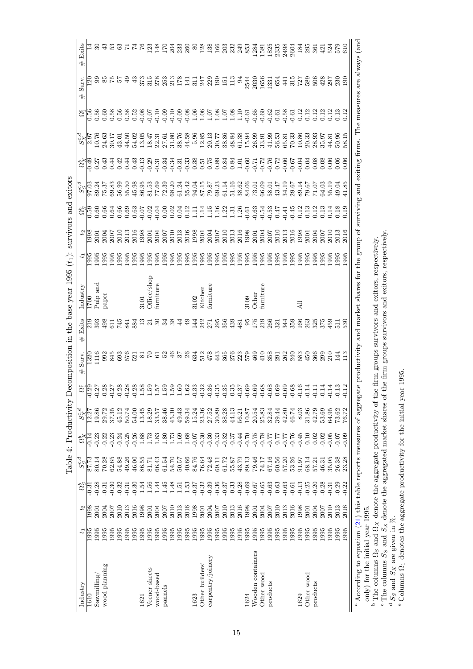<span id="page-15-0"></span>

|                                                           | Exits<br>#                  |                         |            |               |                               |                |                | 99982778      |                                 |                                                 |            |                    |                       |                                             |               |         |                                                                                             |                                                            |         |         |         |         |         |                                 |            |             |         |                |                   |                |            |                    |         | $33800$<br>$48800$ |                                             |         |
|-----------------------------------------------------------|-----------------------------|-------------------------|------------|---------------|-------------------------------|----------------|----------------|---------------|---------------------------------|-------------------------------------------------|------------|--------------------|-----------------------|---------------------------------------------|---------------|---------|---------------------------------------------------------------------------------------------|------------------------------------------------------------|---------|---------|---------|---------|---------|---------------------------------|------------|-------------|---------|----------------|-------------------|----------------|------------|--------------------|---------|--------------------|---------------------------------------------|---------|
|                                                           | Surv.<br>$^{\ddag}$         | $\overline{\mathbf{5}}$ |            |               | 3365                          |                | $\overline{6}$ | ₩             |                                 | 35 26 36 36 36 36 36 36 36 37 38 39 30 31 32 33 |            |                    |                       |                                             |               |         |                                                                                             |                                                            |         |         |         |         | 2544    | 2030<br>1656                    |            | 1331<br>654 |         | 441            | 315<br>727<br>589 |                |            | 506                |         | $\frac{28}{300}$   |                                             |         |
|                                                           | $\Omega_1^e$                |                         |            |               |                               |                |                |               |                                 |                                                 |            |                    |                       |                                             |               |         |                                                                                             |                                                            |         |         |         |         |         |                                 |            |             |         |                |                   |                |            |                    |         |                    | $\begin{array}{c} 0.13 \\ 0.12 \end{array}$ |         |
|                                                           |                             |                         |            |               |                               |                |                |               |                                 |                                                 |            |                    |                       |                                             |               |         |                                                                                             |                                                            |         |         |         |         |         |                                 |            |             |         |                |                   |                |            |                    |         | 14.81              | 50.96                                       |         |
|                                                           |                             |                         |            |               |                               |                |                |               |                                 |                                                 |            |                    |                       |                                             |               |         |                                                                                             |                                                            |         |         |         |         |         |                                 |            |             |         |                |                   |                |            |                    |         |                    |                                             |         |
|                                                           |                             |                         |            |               |                               |                |                |               |                                 |                                                 |            |                    |                       |                                             |               |         |                                                                                             |                                                            |         |         |         |         |         |                                 |            |             |         |                |                   |                |            |                    |         |                    |                                             |         |
|                                                           |                             |                         |            |               |                               |                |                |               |                                 |                                                 |            |                    |                       |                                             |               |         |                                                                                             |                                                            |         |         |         |         |         |                                 |            |             |         |                |                   |                |            |                    | 0.13    |                    | 0.18                                        |         |
| survivors and exitors                                     | $t_2$                       |                         |            |               |                               |                |                |               |                                 |                                                 |            |                    |                       |                                             |               |         |                                                                                             |                                                            |         |         |         |         |         |                                 |            |             |         |                |                   |                |            |                    |         |                    |                                             |         |
| $(t_1)$ :                                                 | $t_1$                       |                         |            |               |                               |                |                |               |                                 |                                                 |            |                    |                       |                                             |               |         |                                                                                             |                                                            |         |         |         |         |         |                                 |            |             |         |                |                   | 1995<br>1995   |            | 1995               | 1995    | 1995               | 1995<br>1995                                |         |
| Table 4: Productivity Decomposition in the base year 1995 | Industry                    | $\frac{0021}{2}$        | pup and    | paper         |                               |                |                |               | 3101                            | Office/shop                                     | turniture  |                    |                       |                                             |               | 3102    |                                                                                             | Kitchen<br>furniture                                       |         |         |         |         |         | 3109<br>Other<br>furniture      |            |             |         |                |                   | $\overline{A}$ |            |                    |         |                    |                                             |         |
|                                                           | Exits<br>#                  |                         | 219<br>393 | 498           |                               |                |                |               | E H H H H H H H H H H H H H H H |                                                 | 30         | 34                 | 38                    |                                             | $\frac{6}{7}$ |         |                                                                                             | 142788                                                     |         |         | 439     |         |         | $481$<br>$55$<br>$519$<br>$219$ |            | 266         | 321     | $344$<br>$359$ |                   |                |            | 166<br>2825<br>375 |         | 459                | $\frac{1}{5}$ <sub>20</sub>                 |         |
|                                                           | Surv.<br>#                  | 1320                    | 116        |               |                               |                |                | <b>935655</b> | $\frac{5}{2}$                   |                                                 | 5          | 25                 | 46                    | 57                                          | $\frac{8}{2}$ |         |                                                                                             | 631<br>512<br>43                                           |         | 365     | 276     |         |         | 359998739385                    |            |             |         |                |                   |                | 450        | 366                | 299     | $\overline{210}$   | 크<br>13                                     |         |
|                                                           |                             |                         |            |               |                               |                |                |               |                                 |                                                 |            |                    |                       |                                             |               |         |                                                                                             |                                                            |         |         |         |         |         |                                 |            |             |         |                |                   |                |            |                    |         |                    |                                             |         |
|                                                           | $\frac{S_{X}^{c,d}}{12.27}$ |                         | 19.86      |               | 29.72<br>37.35                | 45.12<br>50.74 |                | 54.00         | 13.45                           | 18.29                                           | 33.57      | $38.46$<br>$45.30$ |                       |                                             |               |         |                                                                                             | 43 34 36 36 36<br>4 3 3 3 3 3 3 3 3 3<br>4 3 3 3 3 3 3 3 3 |         |         | 44.13   | 56.21   | 10.87   | 20.54                           | 25.83      | 32.84       | 39.44   | 42.80          | 46.74             | $8.03$         | 31.86      | 42.79              | 53.69   | 64.95              | 73.62                                       | 76.72   |
|                                                           | ಜಿ                          |                         | $-0.23$    | $-0.22$       | $-0.23$                       | $-0.24$        | $-0.25$        | $-0.26$       | 1.88                            | 1.73                                            | 1.83       | 1.80               | $1.73\,$              | $1.69$<br>$1.68$                            |               |         |                                                                                             | $588335$<br>$99999$                                        |         |         |         | $-0.44$ | $-0.70$ | $-0.75$                         | $-0.78$    | $-0.77$     | $-0.77$ | $-0.77$        | $-0.76$           | $-0.45$        | 0.10       | 0.02               | $-0.02$ | $-0.05$            | $-0.07$                                     | $-0.09$ |
|                                                           | $\frac{SG_{c,d}}{87.73}$    |                         | 80.14      |               | $70.28$<br>$62.65$<br>$54.88$ |                | 49.26          | 46.00         | 86.55                           | 81.71                                           | 66.43      | 61.54              | $\frac{54.70}{50.57}$ |                                             |               |         |                                                                                             | 84.76<br>76.64<br>72.48<br>69.172<br>55.87<br>43.79        |         |         |         |         | 89.13   | 79.46                           | 74.17      | 67.16       | 60.56   | 57.20          | 53.26             | 91.97          | 68.14      | 57.21              | 46.31   | 35.05              | 26.38                                       | 23.28   |
|                                                           | ಕ್ಷ                         | $-0.31$                 | $-0.28$    | $-0.31$       | $-0.30$                       | $-0.32$        | $-0.31$        | $-0.30$       | 1.54                            | $1.56\,$                                        | 1.44       | 1.45               | 1.48                  | $\begin{array}{c} 1.51 \\ 1.53 \end{array}$ |               | $-0.37$ | $-0.32$                                                                                     | $-0.39$                                                    | $-0.36$ | $-0.37$ | $-0.33$ | $-0.28$ | $-0.69$ | $-0.67$                         | $-0.65$    | $-0.63$     | $-0.63$ | $-0.63$        | $-0.61$           | $-0.13$        | $-0.25$    | $-0.20$            | $-0.28$ | $-0.31$            | $-0.29$                                     | $-0.22$ |
|                                                           | $t_2$                       | 8661                    | 2001       | 2004          | 2007                          | 2010           | 2013           | 2016          | .998                            | 2001                                            |            |                    |                       |                                             |               |         | $\begin{array}{l} 2004 \\ 2007 \\ 2013 \\ 2013 \\ 2013 \\ 2016 \\ 1998 \\ 2001 \end{array}$ | 2004                                                       | 2007    | 2010    | 2013    | 2016    | 1998    | 2001                            | 2004       | 2007        | 2010    | 2013           | 2016              | 1998           | 2001       | 2004               | 2007    | <b>2010</b>        | 2013                                        | 2016    |
|                                                           | 47                          | 1995                    | 1995       | 1995          | 1995                          | 1995           | 1995           | 1995          | 1995                            | 1995                                            | 1995       | 1995               | 1995                  | 1995                                        | 1995          | 1995    | 1995                                                                                        | 1995                                                       | 1995    | 1995    | 1995    | 1995    | 1995    | 1995                            | 1995       | 1995        | 1995    | 1995           | 1995              | 1995           | 1995       | 1995               | 1995    | 1995               | 1995                                        | 1995    |
|                                                           | Industry                    | 1610                    | Sawmilling | wood planning |                               |                |                |               | 1621                            | Veener sheets                                   | wood-based | pannels            |                       |                                             |               | 1623    | Other builders'                                                                             | carpentry/joinery                                          |         |         |         |         | 1624    | Wooden containers               | Other wood | products    |         |                |                   | 1629           | Other wood | products           |         |                    |                                             |         |

<sup>a</sup> According to equation (21) this table reports measures of aggregate productivity and market shares for the group of surviving and exiting firms. The measures are always (and <sup>a</sup> According to equation ([21\)](#page-9-2) this table reports measures of aggregate productivity and market shares for the group of surviving and exiting firms. The measures are always (and only) for the initial year 1995. only) for the initial year 1995.

62.9 2013 -0.29 2010 2010 2010 2010 2010 2010 2010 145.02 145.02 145.02 145.04 199.04 0.13 2010 10.07 2013 201 1995 2016 -0.22 23.28 -0.09 76.72 -0.12 113 530 1995 2016 0.19 41.85 0.06 58.15 0.12 190 610

<sup>b</sup> The columns  $\Omega_S$  and  $\Omega_X$  denote the aggregate productivity of the firm groups survivors and exitors, respectively.

The columns  $S_S$  and  $S_X$  denote the aggregated market shares of the firm groups survivors and exitors, respectively.

bc

de $\frac{d}{ds}$  and  $S_X$  are given in  $\%$ . Columns Ω1 denotes the aggregate productivity for the initial year 1995.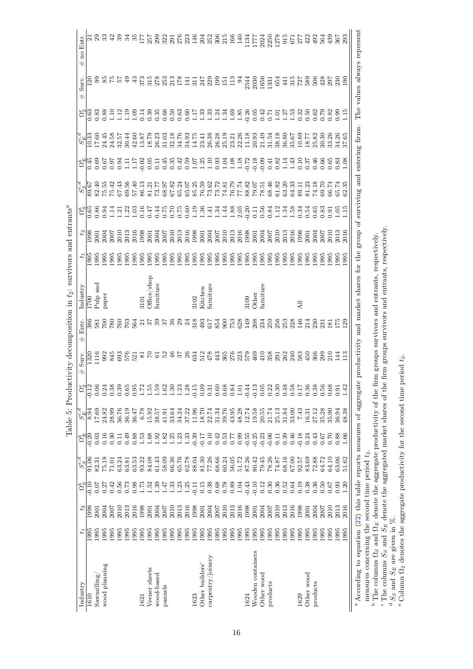<span id="page-16-0"></span>

| no Entr.<br>#                                                                                               |                   |                   |               |      | ដុន្លនាំនងន          |      |                | IТ   | 257                      | 3335633538555 |         |                     |                  |                  |         |                 |                                       |       |       |                  |              | 134<br>1777 |                            | 2021<br>2250<br>0512<br>0577<br>277                         |          |                                             |                                                     |       |                | 33<br>33<br>53 |          |       | 439   | 367<br>293           |               |  |
|-------------------------------------------------------------------------------------------------------------|-------------------|-------------------|---------------|------|----------------------|------|----------------|------|--------------------------|---------------|---------|---------------------|------------------|------------------|---------|-----------------|---------------------------------------|-------|-------|------------------|--------------|-------------|----------------------------|-------------------------------------------------------------|----------|---------------------------------------------|-----------------------------------------------------|-------|----------------|----------------|----------|-------|-------|----------------------|---------------|--|
| Surv.<br>$^{\rm \#}$                                                                                        | $\frac{5}{2}$     |                   |               |      | 636556               |      | $\ddot{a}$     |      | en anggripa<br>Sanggripa |               |         |                     |                  | $\overline{141}$ |         |                 | 12489252                              |       |       |                  | $\mathbb{R}$ |             |                            | $\begin{array}{c} 2544 \\ 2030 \\ 1656 \\ 1331 \end{array}$ |          | 654                                         | 441                                                 |       | 32886          |                |          | 428   |       | 222                  |               |  |
|                                                                                                             |                   |                   |               |      |                      |      |                |      |                          |               |         |                     |                  |                  |         |                 |                                       |       |       |                  |              |             |                            |                                                             |          |                                             |                                                     |       |                |                |          |       |       |                      |               |  |
|                                                                                                             |                   |                   |               |      |                      |      |                |      |                          |               |         |                     |                  |                  |         |                 |                                       |       |       |                  |              |             |                            |                                                             |          |                                             |                                                     |       |                |                |          |       |       |                      |               |  |
| 송]<br>이 이 이 이 이 오 및 니 니 이 이 이 이 이 이 이 니 니 니 이 니 니 니 이 이 이 이 이 이 니 니 이 이 이 이 이 이 니 니 니 이 니 니 니 이 이 이 이 니 니 이 |                   |                   |               |      |                      |      |                |      |                          |               |         |                     |                  |                  |         |                 |                                       |       |       |                  |              |             |                            |                                                             |          |                                             |                                                     |       |                | 0.37           | 0.46     |       |       | 66<br>0.68<br>0.0.08 |               |  |
|                                                                                                             |                   |                   |               |      |                      |      |                |      |                          |               |         |                     |                  |                  |         |                 |                                       |       |       |                  |              |             |                            |                                                             |          |                                             |                                                     |       |                |                |          |       |       |                      |               |  |
| $c_{16}^{36}$ 834453335                                                                                     |                   |                   |               |      |                      |      |                |      |                          |               |         |                     |                  |                  |         |                 |                                       |       |       |                  |              |             |                            |                                                             |          |                                             |                                                     |       |                |                |          |       |       |                      |               |  |
| $t_2$                                                                                                       |                   |                   |               |      |                      |      |                |      |                          |               |         |                     |                  |                  |         |                 |                                       |       |       |                  |              |             |                            |                                                             |          |                                             |                                                     |       |                |                |          |       |       |                      |               |  |
| $t_1$                                                                                                       |                   |                   |               |      |                      |      |                |      |                          |               |         |                     |                  |                  |         |                 |                                       |       |       |                  |              |             |                            |                                                             |          |                                             |                                                     |       |                |                |          |       |       |                      |               |  |
| Industry                                                                                                    | $\overline{1700}$ | Pulp and<br>paper |               |      |                      |      |                | 3101 | Office/shop              | furniture     |         |                     |                  |                  |         |                 | 3102<br>Kitchen<br>furniture          |       |       |                  |              |             | 3109<br>Other<br>furniture |                                                             |          |                                             |                                                     |       | $\overline{A}$ |                |          |       |       |                      |               |  |
| Entr.                                                                                                       |                   |                   |               |      |                      |      |                |      |                          |               |         |                     |                  |                  | 318     | 493             | 617                                   |       |       |                  |              |             |                            |                                                             |          |                                             |                                                     |       |                |                |          |       |       |                      |               |  |
| #<br>Surv.<br>$\#$                                                                                          | 1320              | 116               |               |      |                      |      |                |      |                          |               |         |                     |                  |                  |         |                 |                                       | 443   | 365   |                  |              |             |                            | 235800813936868586868                                       |          |                                             |                                                     |       |                |                |          | 299   | 210   | $\vec{H}$            | $\Xi$         |  |
| $\tilde{c}$                                                                                                 | $\sqrt{12}$       |                   |               |      | 8 7 8 8<br>8 8 9 8 9 | 0.65 | 0.95           | 1.72 | 1.55                     | 388           |         |                     | $1.23$<br>$1.28$ |                  | $-0.15$ |                 | 0.31<br>0.5<br>0.6                    |       | 0.68  | 0.84             | 1.01         | $-0.44$     | $-0.13$                    | 0.05                                                        | 0.22     | 0.30                                        | 0.48                                                | 0.58  | 0.17           | 0.36           | 0.38     | 0.56  | 0.68  | 0.91                 | $\frac{4}{1}$ |  |
|                                                                                                             |                   |                   |               |      |                      |      |                | 6.78 | 15.92                    | 38.57         | 41.91   | 33.64               | 34.24            | 37.22            | 11.96   | 18.70           | 22.74                                 | 31.34 | 39.76 | 43.95            | 48.28        | $12.74\,$   | 19.58                      | $20.55$<br>$21.74$                                          |          | 25.13                                       | 31.84                                               | 33.00 | 7.43           | 16.31          | 27.12    | 35.28 | 35.90 | 36.94                | 48.38         |  |
| $\frac{c_{\rm H}^{48}}{c_{\rm H}^{48}}$ $\frac{1}{c_{\rm H}^{48}}$ $\frac{1}{c_{\rm H}^{48}}$               |                   |                   |               |      | $\overline{0}$       | 0.49 | 0.88           | 1.53 |                          | 38888833      |         |                     |                  |                  | $-0.39$ | $-0.17$         | 0.10                                  |       |       | $0.53$<br>$0.57$ |              |             |                            | $9958336$<br>$-0.5336$                                      |          | $\begin{array}{c} 0.11 \\ 0.39 \end{array}$ |                                                     | 0.46  | $-0.18$        | 0.24           | 0.43     | 0.67  | 0.70  | 0.88                 | 1.66          |  |
|                                                                                                             |                   |                   |               |      |                      |      |                |      |                          |               |         |                     |                  |                  |         |                 |                                       |       |       |                  |              |             |                            | 80.42<br>79.45<br>78.37<br>74.87                            |          |                                             | $68.16$<br>$67.00$<br>$92.57$<br>$83.69$<br>$72.88$ |       |                |                |          | 64.72 | 64.10 | 63.06                | 51.62         |  |
|                                                                                                             | $\frac{1}{10}$    | 0.07              | 0.27          | 0.42 | $0.56$<br>0.73       |      | $0.98$<br>1.73 |      | $1.52$<br>$1.39$         |               | 1.47    | 1.33                | 1.25             |                  |         |                 | $11.88888$<br>$0.500000$<br>$0.50000$ |       |       |                  | 1.04         |             |                            |                                                             |          | 0.36                                        | 0.52                                                | 0.64  | 0.19           | 0.38           | 0.36     | 0.50  | 0.67  | 0.93                 | 1.20          |  |
|                                                                                                             |                   | 888               |               |      | $\frac{201}{2013}$   |      |                | 1998 | 2004<br>2004             |               | 2007    | $\frac{2013}{2016}$ |                  |                  | 1998    | 2001            | 2004                                  | 2007  |       | 2013             | 2016         | 1998        | 2001                       | 2004                                                        | 2007     | $\frac{0}{2010}$                            |                                                     |       | 1998<br>2001   |                | 2004     | 2007  | 201C  | 2013                 | 2016          |  |
| t,                                                                                                          | $\sqrt{985}$      |                   | 1995<br>1995  | 1995 | 1995                 | 1995 | 1995           | 1995 | 1995                     | 1995          | 1995    | 1995                | 1995             | 1995             | 1995    | 1995            | 1995                                  | 1995  | 1995  | 1995             | 1995         | 1995        | 1995                       | 1995                                                        | 1995     | 1995                                        | 1995                                                | 1995  | 1995           | 1995           | 1995     | 1995  | 1995  | 1995                 | 1995          |  |
| Industry                                                                                                    | 1610              | Sawmilling        | wood planning |      |                      |      |                | 1621 | Veener sheets            | wood-based    | pannels |                     |                  |                  | 1623    | Other builders' | carpentry/joinery                     |       |       |                  |              | 1624        | Wooden containers          | Other wood                                                  | products |                                             |                                                     |       | 1629           | Other wood     | products |       |       |                      |               |  |

Table 5: Productivity decomposition in  $t_2$ : survivors and entrants<sup>*a*</sup> Table 5: Productivity decomposition in  $t_2$ : survivors and entrants<sup>a</sup> <sup>a</sup> According to equation (22) this table reports measures of aggregate productivity and market shares for the group of surviving and entering firms. The values always represent <sup>a</sup> According to equation [\(22\)](#page-9-3) this table reports measures of aggregate productivity and market shares for the group of surviving and entering firms. The values always represent measures concerning the second time period  $t_2$ . measures concerning the second time period  $t_2$ .

<sup>b</sup> The columns  $\Omega_S$  and  $\Omega_E$  denote the aggregate productivity of the firm groups survivors and entrants, respectively.

The columns  $S_S$  and  $S_E$  denote the aggregated market shares of the firm groups survivors and entrants, respectively.

bc

de $\frac{d}{ds} S_S$  and  $S_E$  are given in  $\%$ . <sup>e</sup> Column  $\Omega_2$  denotes the aggregate productivity for the second time period  $t_2$ .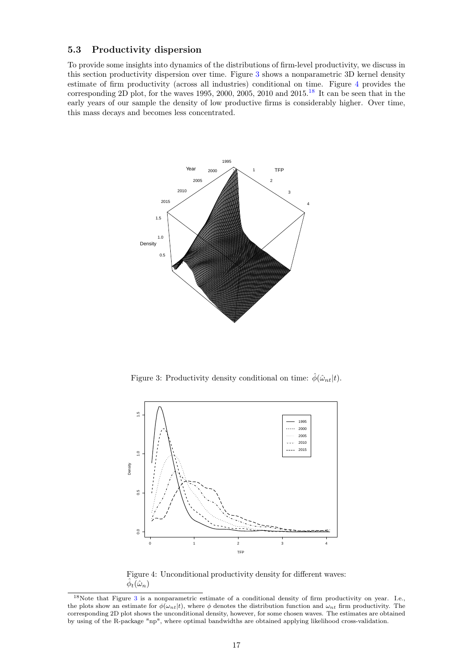# <span id="page-17-0"></span>5.3 Productivity dispersion

To provide some insights into dynamics of the distributions of firm-level productivity, we discuss in this section productivity dispersion over time. Figure [3](#page-17-1) shows a nonparametric 3D kernel density estimate of firm productivity (across all industries) conditional on time. Figure [4](#page-17-2) provides the corresponding 2D plot, for the waves 1995, 2000, 2005, 2010 and 2015.<sup>[18](#page-17-3)</sup> It can be seen that in the early years of our sample the density of low productive firms is considerably higher. Over time, this mass decays and becomes less concentrated.



<span id="page-17-1"></span>Figure 3: Productivity density conditional on time:  $\hat{\phi}(\hat{\omega}_{nt}|t)$ .



<span id="page-17-2"></span>Figure 4: Unconditional productivity density for different waves:  $\widetilde{\phi}_t(\hat{\omega}_n)$ 

<span id="page-17-3"></span><sup>18</sup>Note that Figure [3](#page-17-1) is a nonparametric estimate of a conditional density of firm productivity on year. I.e., the plots show an estimate for  $\phi(\omega_{nt}|t)$ , where  $\phi$  denotes the distribution function and  $\omega_{nt}$  firm productivity. The corresponding 2D plot shows the unconditional density, however, for some chosen waves. The estimates are obtained by using of the R-package "np", where optimal bandwidths are obtained applying likelihood cross-validation.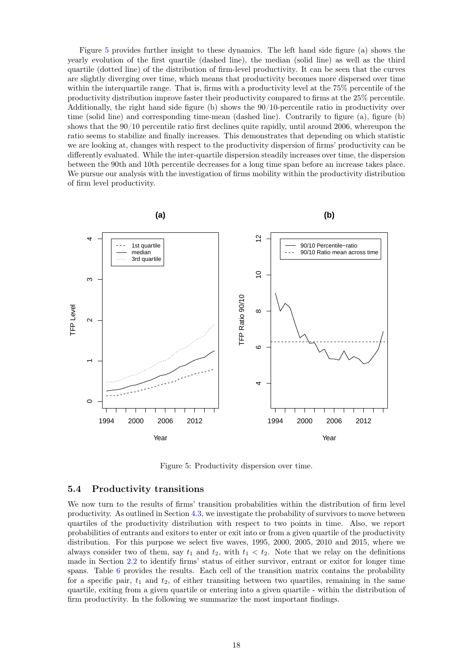Figure [5](#page-18-1) provides further insight to these dynamics. The left hand side figure (a) shows the yearly evolution of the first quartile (dashed line), the median (solid line) as well as the third quartile (dotted line) of the distribution of firm-level productivity. It can be seen that the curves are slightly diverging over time, which means that productivity becomes more dispersed over time within the interquartile range. That is, firms with a productivity level at the 75% percentile of the productivity distribution improve faster their productivity compared to firms at the 25% percentile. Additionally, the right hand side figure (b) shows the 90/10-percentile ratio in productivity over time (solid line) and corresponding time-mean (dashed line). Contrarily to figure (a), figure (b) shows that the 90/10 percentile ratio first declines quite rapidly, until around 2006, whereupon the ratio seems to stabilize and finally increases. This demonstrates that depending on which statistic we are looking at, changes with respect to the productivity dispersion of firms' productivity can be differently evaluated. While the inter-quartile dispersion steadily increases over time, the dispersion between the 90th and 10th percentile decreases for a long time span before an increase takes place. We pursue our analysis with the investigation of firms mobility within the productivity distribution of firm level productivity.



<span id="page-18-1"></span>Figure 5: Productivity dispersion over time.

#### <span id="page-18-0"></span>5.4 Productivity transitions

We now turn to the results of firms' transition probabilities within the distribution of firm level productivity. As outlined in Section [4.3,](#page-9-0) we investigate the probability of survivors to move between quartiles of the productivity distribution with respect to two points in time. Also, we report probabilities of entrants and exitors to enter or exit into or from a given quartile of the productivity distribution. For this purpose we select five waves, 1995, 2000, 2005, 2010 and 2015, where we always consider two of them, say  $t_1$  and  $t_2$ , with  $t_1 < t_2$ . Note that we relay on the definitions made in Section [2.2](#page-3-3) to identify firms' status of either survivor, entrant or exitor for longer time spans. Table [6](#page-20-0) provides the results. Each cell of the transition matrix contains the probability for a specific pair,  $t_1$  and  $t_2$ , of either transiting between two quartiles, remaining in the same quartile, exiting from a given quartile or entering into a given quartile - within the distribution of firm productivity. In the following we summarize the most important findings.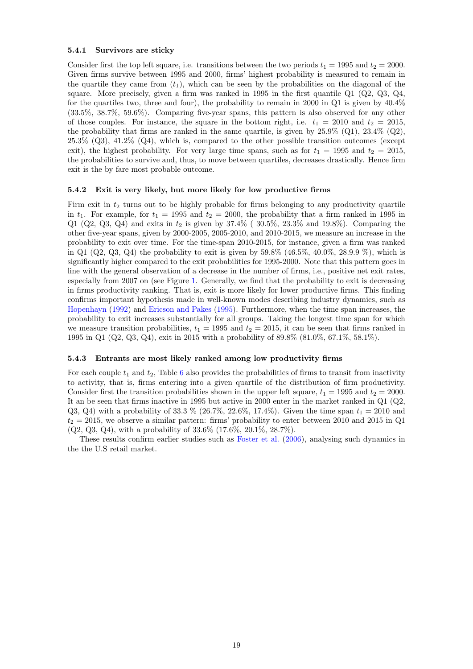#### 5.4.1 Survivors are sticky

Consider first the top left square, i.e. transitions between the two periods  $t_1 = 1995$  and  $t_2 = 2000$ . Given firms survive between 1995 and 2000, firms' highest probability is measured to remain in the quartile they came from  $(t_1)$ , which can be seen by the probabilities on the diagonal of the square. More precisely, given a firm was ranked in 1995 in the first quantile  $Q1$  ( $Q2$ ,  $Q3$ ,  $Q4$ , for the quartiles two, three and four), the probability to remain in 2000 in Q1 is given by 40.4% (33.5%, 38.7%, 59.6%). Comparing five-year spans, this pattern is also observed for any other of those couples. For instance, the square in the bottom right, i.e.  $t_1 = 2010$  and  $t_2 = 2015$ , the probability that firms are ranked in the same quartile, is given by  $25.9\%$  (Q1),  $23.4\%$  (Q2), 25.3% (Q3), 41.2% (Q4), which is, compared to the other possible transition outcomes (except exit), the highest probability. For very large time spans, such as for  $t_1 = 1995$  and  $t_2 = 2015$ , the probabilities to survive and, thus, to move between quartiles, decreases drastically. Hence firm exit is the by fare most probable outcome.

#### 5.4.2 Exit is very likely, but more likely for low productive firms

Firm exit in  $t_2$  turns out to be highly probable for firms belonging to any productivity quartile in  $t_1$ . For example, for  $t_1 = 1995$  and  $t_2 = 2000$ , the probability that a firm ranked in 1995 in Q1 (Q2, Q3, Q4) and exits in  $t_2$  is given by 37.4% (30.5%, 23.3% and 19.8%). Comparing the other five-year spans, given by 2000-2005, 2005-2010, and 2010-2015, we measure an increase in the probability to exit over time. For the time-span 2010-2015, for instance, given a firm was ranked in Q1 (Q2, Q3, Q4) the probability to exit is given by  $59.8\%$  (46.5%, 40.0%, 28.9.9%), which is significantly higher compared to the exit probabilities for 1995-2000. Note that this pattern goes in line with the general observation of a decrease in the number of firms, i.e., positive net exit rates, especially from 2007 on (see Figure [1.](#page-5-1) Generally, we find that the probability to exit is decreasing in firms productivity ranking. That is, exit is more likely for lower productive firms. This finding confirms important hypothesis made in well-known modes describing industry dynamics, such as [Hopenhayn](#page-30-16) [\(1992\)](#page-30-16) and [Ericson and Pakes](#page-30-17) [\(1995\)](#page-30-17). Furthermore, when the time span increases, the probability to exit increases substantially for all groups. Taking the longest time span for which we measure transition probabilities,  $t_1 = 1995$  and  $t_2 = 2015$ , it can be seen that firms ranked in 1995 in Q1 (Q2, Q3, Q4), exit in 2015 with a probability of 89.8% (81.0%, 67.1%, 58.1%).

#### 5.4.3 Entrants are most likely ranked among low productivity firms

For each couple  $t_1$  and  $t_2$ , Table [6](#page-20-0) also provides the probabilities of firms to transit from inactivity to activity, that is, firms entering into a given quartile of the distribution of firm productivity. Consider first the transition probabilities shown in the upper left square,  $t_1 = 1995$  and  $t_2 = 2000$ . It an be seen that firms inactive in 1995 but active in 2000 enter in the market ranked in Q1 (Q2, Q3, Q4) with a probability of 33.3 % (26.7%, 22.6%, 17.4%). Given the time span  $t_1 = 2010$  and  $t_2 = 2015$ , we observe a similar pattern: firms' probability to enter between 2010 and 2015 in Q1 (Q2, Q3, Q4), with a probability of 33.6% (17.6%, 20.1%, 28.7%).

These results confirm earlier studies such as [Foster et al.](#page-30-5) [\(2006\)](#page-30-5), analysing such dynamics in the the U.S retail market.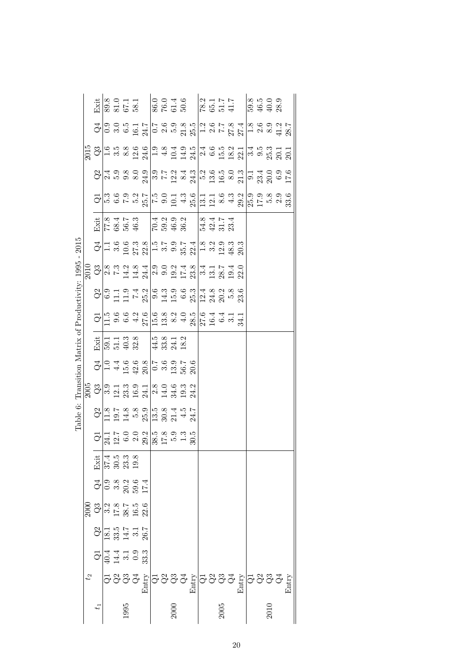<span id="page-20-0"></span>

|                                       | Exit                                                                                                                                                                                                                                                                                                                                                                                          |                                                                                                                           | 89.8<br>81.0<br>67.1<br>58.1         |      |                                                                                                                                                                                                                                                                                                                                                                                                                                                                                                                                                         |                                                |      |  |  |      |  |  |      |       |
|---------------------------------------|-----------------------------------------------------------------------------------------------------------------------------------------------------------------------------------------------------------------------------------------------------------------------------------------------------------------------------------------------------------------------------------------------|---------------------------------------------------------------------------------------------------------------------------|--------------------------------------|------|---------------------------------------------------------------------------------------------------------------------------------------------------------------------------------------------------------------------------------------------------------------------------------------------------------------------------------------------------------------------------------------------------------------------------------------------------------------------------------------------------------------------------------------------------------|------------------------------------------------|------|--|--|------|--|--|------|-------|
|                                       |                                                                                                                                                                                                                                                                                                                                                                                               |                                                                                                                           |                                      |      | $G _{\bigcirc}^{\bullet} _{\bigcirc}^{\bullet} _{\bigcirc}^{\bullet} _{\bigcirc}^{\bullet} _{\bigcirc}^{\bullet} _{\bigcirc}^{\bullet} _{\bigcirc}^{\bullet} _{\bigcirc}^{\bullet} _{\bigcirc}^{\bullet} _{\bigcirc}^{\bullet} _{\bigcirc}^{\bullet} _{\bigcirc}^{\bullet} _{\bigcirc}^{\bullet} _{\bigcirc}^{\bullet} _{\bigcirc}^{\bullet} _{\bigcirc}^{\bullet} _{\bigcirc}^{\bullet} _{\bigcirc}^{\bullet} _{\bigcirc}^{\bullet} _{\bigcirc}^{\bullet} _{\bigcirc}^{\bullet} _{\bigcirc}^{\bullet} _{\bigcirc}^{\bullet} _{\bigcirc}^{\bullet} _{\$ |                                                |      |  |  |      |  |  |      |       |
|                                       |                                                                                                                                                                                                                                                                                                                                                                                               |                                                                                                                           |                                      |      |                                                                                                                                                                                                                                                                                                                                                                                                                                                                                                                                                         |                                                |      |  |  |      |  |  |      |       |
|                                       |                                                                                                                                                                                                                                                                                                                                                                                               |                                                                                                                           |                                      |      |                                                                                                                                                                                                                                                                                                                                                                                                                                                                                                                                                         |                                                |      |  |  |      |  |  |      |       |
|                                       |                                                                                                                                                                                                                                                                                                                                                                                               |                                                                                                                           |                                      |      | $\begin{array}{l} \n\hline\nG_{1}^{1} \stackrel{.}{m} \stackrel{.}{\sigma} \stackrel{.}{m} \stackrel{.}{m} \stackrel{.}{m} \stackrel{.}{m} \stackrel{.}{m} \stackrel{.}{m} \stackrel{.}{m} \stackrel{.}{m} \stackrel{.}{m} \stackrel{.}{m} \stackrel{.}{m} \stackrel{.}{m} \stackrel{.}{m} \stackrel{.}{m} \stackrel{.}{m} \stackrel{.}{m} \stackrel{.}{m} \stackrel{.}{m} \stackrel{.}{m} \stackrel{.}{m} \stackrel{.}{m} \stackrel{.}{m} \stackrel{.}{m$                                                                                              |                                                |      |  |  |      |  |  |      |       |
|                                       | Exit                                                                                                                                                                                                                                                                                                                                                                                          |                                                                                                                           |                                      |      |                                                                                                                                                                                                                                                                                                                                                                                                                                                                                                                                                         |                                                |      |  |  |      |  |  |      |       |
| הדמ <del>ד</del>                      |                                                                                                                                                                                                                                                                                                                                                                                               |                                                                                                                           |                                      |      |                                                                                                                                                                                                                                                                                                                                                                                                                                                                                                                                                         |                                                |      |  |  |      |  |  |      |       |
|                                       | $\frac{10}{100} \frac{30}{100} \times \frac{100}{100} \frac{30}{100} \times \frac{100}{100} \frac{100}{100} \times \frac{100}{100} \times \frac{100}{100} \times \frac{100}{100} \times \frac{100}{100} \times \frac{100}{100} \times \frac{100}{100} \times \frac{100}{100} \times \frac{100}{100} \times \frac{100}{100} \times \frac{100}{100} \times \frac{100}{100} \times \frac{100}{1$ |                                                                                                                           |                                      |      |                                                                                                                                                                                                                                                                                                                                                                                                                                                                                                                                                         |                                                |      |  |  |      |  |  |      |       |
|                                       |                                                                                                                                                                                                                                                                                                                                                                                               |                                                                                                                           |                                      |      | $Q$   $\circ$ $\Xi$ $\Xi$ $\sim$ $\frac{1}{2}$ $\frac{1}{2}$ $\frac{1}{2}$ $\frac{1}{2}$ $\frac{1}{2}$ $\frac{1}{2}$ $\frac{1}{2}$ $\frac{1}{2}$ $\frac{1}{2}$ $\frac{1}{2}$ $\frac{1}{2}$ $\frac{1}{2}$ $\frac{1}{2}$ $\frac{1}{2}$ $\frac{1}{2}$ $\frac{1}{2}$ $\frac{1}{2}$ $\frac{1}{2}$ $\frac{1}{2}$ $\frac{1}{2$                                                                                                                                                                                                                                 |                                                |      |  |  |      |  |  |      |       |
|                                       |                                                                                                                                                                                                                                                                                                                                                                                               |                                                                                                                           |                                      |      | $\frac{1}{9}$ $\frac{1}{11}$ $\frac{1}{9}$ $\frac{1}{9}$ $\frac{1}{9}$ $\frac{1}{9}$ $\frac{1}{11}$ $\frac{1}{11}$ $\frac{1}{11}$ $\frac{1}{11}$ $\frac{1}{11}$ $\frac{1}{11}$ $\frac{1}{11}$ $\frac{1}{11}$ $\frac{1}{11}$ $\frac{1}{11}$ $\frac{1}{11}$ $\frac{1}{11}$ $\frac{1}{11}$ $\frac{1}{11}$ $\frac{1}{$                                                                                                                                                                                                                                      |                                                |      |  |  |      |  |  |      |       |
|                                       | Exit                                                                                                                                                                                                                                                                                                                                                                                          |                                                                                                                           | $59.1$<br>$51.3$<br>$54.8$<br>$32.5$ |      |                                                                                                                                                                                                                                                                                                                                                                                                                                                                                                                                                         | $\frac{15}{43}$ $\frac{8}{31}$ $\frac{13}{18}$ |      |  |  |      |  |  |      |       |
| ceer 'Xinxingham I of Yingini Honight |                                                                                                                                                                                                                                                                                                                                                                                               |                                                                                                                           |                                      |      |                                                                                                                                                                                                                                                                                                                                                                                                                                                                                                                                                         |                                                |      |  |  |      |  |  |      |       |
|                                       |                                                                                                                                                                                                                                                                                                                                                                                               |                                                                                                                           |                                      |      |                                                                                                                                                                                                                                                                                                                                                                                                                                                                                                                                                         |                                                |      |  |  |      |  |  |      |       |
| laule U.                              |                                                                                                                                                                                                                                                                                                                                                                                               |                                                                                                                           |                                      |      |                                                                                                                                                                                                                                                                                                                                                                                                                                                                                                                                                         |                                                |      |  |  |      |  |  |      |       |
|                                       |                                                                                                                                                                                                                                                                                                                                                                                               |                                                                                                                           |                                      |      | $G _{\overline{X}}$ $\frac{1}{12}$ $\frac{1}{12}$ $G$ $G$ $G$ $G$ $\frac{1}{28}$ $\frac{1}{16}$ $\frac{1}{16}$ $\frac{1}{16}$ $\frac{1}{16}$ $\frac{1}{16}$ $\frac{1}{16}$ $\frac{1}{16}$ $\frac{1}{16}$ $\frac{1}{16}$ $\frac{1}{16}$ $\frac{1}{16}$ $\frac{1}{16}$ $\frac{1}{16}$ $\frac{1}{16}$ $\frac{1}{$                                                                                                                                                                                                                                          |                                                |      |  |  |      |  |  |      |       |
|                                       |                                                                                                                                                                                                                                                                                                                                                                                               | $\frac{11}{25}$<br>$\frac{14}{25}$<br>$\frac{13}{25}$<br>$\frac{33}{25}$<br>$\frac{33}{25}$                               |                                      |      |                                                                                                                                                                                                                                                                                                                                                                                                                                                                                                                                                         |                                                |      |  |  |      |  |  |      |       |
|                                       |                                                                                                                                                                                                                                                                                                                                                                                               | $G$ $\frac{1}{2}$ $\frac{1}{2}$ $\frac{3}{2}$ $\frac{3}{2}$ $\frac{3}{2}$ $\frac{5}{2}$ $\frac{4}{2}$                     |                                      |      |                                                                                                                                                                                                                                                                                                                                                                                                                                                                                                                                                         |                                                |      |  |  |      |  |  |      |       |
|                                       | $\frac{20}{3}$ $\frac{3}{3}$ $\frac{3}{2}$ $\frac{3}{2}$ $\frac{5}{3}$ $\frac{5}{3}$ $\frac{5}{3}$ $\frac{6}{3}$ $\frac{3}{2}$                                                                                                                                                                                                                                                                |                                                                                                                           |                                      |      |                                                                                                                                                                                                                                                                                                                                                                                                                                                                                                                                                         |                                                |      |  |  |      |  |  |      |       |
|                                       |                                                                                                                                                                                                                                                                                                                                                                                               | $\frac{32}{18}$<br>$\frac{1}{3}$<br>$\frac{5}{3}$<br>$\frac{1}{4}$<br>$\frac{1}{3}$<br>$\frac{2}{5}$                      |                                      |      |                                                                                                                                                                                                                                                                                                                                                                                                                                                                                                                                                         |                                                |      |  |  |      |  |  |      |       |
|                                       |                                                                                                                                                                                                                                                                                                                                                                                               | $G _{G}^{4}$ $\stackrel{4}{4}$ $\stackrel{7}{4}$ $\stackrel{8}{5}$ $\stackrel{9}{6}$ $\stackrel{9}{3}$ $\stackrel{33}{3}$ |                                      |      |                                                                                                                                                                                                                                                                                                                                                                                                                                                                                                                                                         |                                                |      |  |  |      |  |  |      |       |
| $t_2$                                 |                                                                                                                                                                                                                                                                                                                                                                                               |                                                                                                                           |                                      |      |                                                                                                                                                                                                                                                                                                                                                                                                                                                                                                                                                         |                                                |      |  |  |      |  |  |      | Entry |
|                                       | $\ddot{t}$                                                                                                                                                                                                                                                                                                                                                                                    |                                                                                                                           |                                      | 1995 |                                                                                                                                                                                                                                                                                                                                                                                                                                                                                                                                                         |                                                | 2000 |  |  | 2005 |  |  | 2010 |       |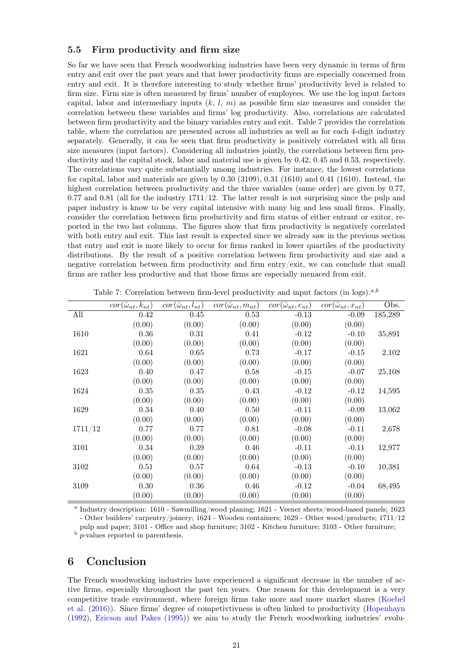# 5.5 Firm productivity and firm size

So far we have seen that French woodworking industries have been very dynamic in terms of firm entry and exit over the past years and that lower productivity firms are especially concerned from entry and exit. It is therefore interesting to study whether firms' productivity level is related to firm size. Firm size is often measured by firms' number of employees. We use the log input factors capital, labor and intermediary inputs  $(k, l, m)$  as possible firm size measures and consider the correlation between these variables and firms' log productivity. Also, correlations are calculated between firm productivity and the binary variables entry and exit. Table [7](#page-21-1) provides the correlation table, where the correlation are presented across all industries as well as for each 4-digit industry separately. Generally, it can be seen that firm productivity is positively correlated with all firm size measures (input factors). Considering all industries jointly, the correlations between firm productivity and the capital stock, labor and material use is given by 0.42, 0.45 and 0.53, respectively. The correlations vary quite substantially among industries. For instance, the lowest correlations for capital, labor and materials are given by 0.30 (3109), 0.31 (1610) and 0.41 (1610). Instead, the highest correlation between productivity and the three variables (same order) are given by 0.77,  $0.77$  and  $0.81$  (all for the industry  $1711/12$ . The latter result is not surprising since the pulp and paper industry is know to be very capital intensive with many big and less small firms. Finally, consider the correlation between firm productivity and firm status of either entrant or exitor, reported in the two last columns. The figures show that firm productivity is negatively correlated with both entry and exit. This last result is expected since we already saw in the previous section that entry and exit is more likely to occur for firms ranked in lower quartiles of the productivity distributions. By the result of a positive correlation between firm productivity and size and a negative correlation between firm productivity and firm entry/exit, we can conclude that small firms are rather less productive and that those firms are especially menaced from exit.

|         | $\overline{cor}(\hat{\omega}_{nt}, k_{nt})$ | $\overline{cor}(\hat{\omega}_{nt}, l_{nt})$ | $\overline{cor}(\hat{\omega}_{nt}, m_{nt})$ | $\overline{cor}(\hat{\omega}_{nt}, e_{nt})$ | $\overline{cor}(\hat{\omega}_{nt}, x_{nt})$ | Obs.    |
|---------|---------------------------------------------|---------------------------------------------|---------------------------------------------|---------------------------------------------|---------------------------------------------|---------|
| All     | 0.42                                        | 0.45                                        | 0.53                                        | $-0.13$                                     | $-0.09$                                     | 185,289 |
|         | (0.00)                                      | (0.00)                                      | (0.00)                                      | (0.00)                                      | (0.00)                                      |         |
| 1610    | 0.36                                        | 0.31                                        | 0.41                                        | $-0.12$                                     | $-0.10$                                     | 35,891  |
|         | (0.00)                                      | (0.00)                                      | (0.00)                                      | (0.00)                                      | (0.00)                                      |         |
| 1621    | 0.64                                        | 0.65                                        | 0.73                                        | $-0.17$                                     | $-0.15$                                     | 2,102   |
|         | (0.00)                                      | (0.00)                                      | (0.00)                                      | (0.00)                                      | (0.00)                                      |         |
| 1623    | 0.40                                        | 0.47                                        | 0.58                                        | $-0.15$                                     | $-0.07$                                     | 25,108  |
|         | (0.00)                                      | (0.00)                                      | (0.00)                                      | (0.00)                                      | (0.00)                                      |         |
| 1624    | 0.35                                        | 0.35                                        | 0.43                                        | $-0.12$                                     | $-0.12$                                     | 14,595  |
|         | (0.00)                                      | (0.00)                                      | (0.00)                                      | (0.00)                                      | (0.00)                                      |         |
| 1629    | 0.34                                        | 0.40                                        | 0.50                                        | $-0.11$                                     | $-0.09$                                     | 13,062  |
|         | (0.00)                                      | (0.00)                                      | (0.00)                                      | (0.00)                                      | (0.00)                                      |         |
| 1711/12 | 0.77                                        | 0.77                                        | 0.81                                        | $-0.08$                                     | $-0.11$                                     | 2,678   |
|         | (0.00)                                      | (0.00)                                      | (0.00)                                      | (0.00)                                      | (0.00)                                      |         |
| 3101    | 0.34                                        | 0.39                                        | 0.46                                        | $-0.11$                                     | $-0.11$                                     | 12,977  |
|         | (0.00)                                      | (0.00)                                      | (0.00)                                      | (0.00)                                      | (0.00)                                      |         |
| 3102    | 0.51                                        | 0.57                                        | 0.64                                        | $-0.13$                                     | $-0.10$                                     | 10,381  |
|         | (0.00)                                      | (0.00)                                      | (0.00)                                      | (0.00)                                      | (0.00)                                      |         |
| 3109    | 0.30                                        | 0.36                                        | 0.46                                        | $-0.12$                                     | $-0.04$                                     | 68,495  |
|         | (0.00)                                      | (0.00)                                      | (0.00)                                      | (0.00)                                      | (0.00)                                      |         |

<span id="page-21-1"></span>Table 7: Correlation between firm-level productivity and input factors (in logs).<sup> $a,b$ </sup>

a Industry description: 1610 - Sawmilling/wood planing; 1621 - Veener sheets/wood-based panels; 1623 - Other builders' carpentry/joinery; 1624 - Wooden containers; 1629 - Other wood/products; 1711/12 pulp and paper; 3101 - Office and shop furniture; 3102 - Kitchen furniture; 3103 - Other furniture; <sup>b</sup> *p*-values reported in parenthesis.

# <span id="page-21-0"></span>6 Conclusion

The French woodworking industries have experienced a significant decrease in the number of active firms, especially throughout the past ten years. One reason for this development is a very competitive trade environment, where foreign firms take more and more market shares [\(Koebel](#page-30-1) [et al.](#page-30-1) [\(2016\)](#page-30-1)). Since firms' degree of competivtivness is often linked to productivity [\(Hopenhayn](#page-30-16) [\(1992\)](#page-30-16), [Ericson and Pakes](#page-30-17) [\(1995\)](#page-30-17)) we aim to study the French woodworking industries' evolu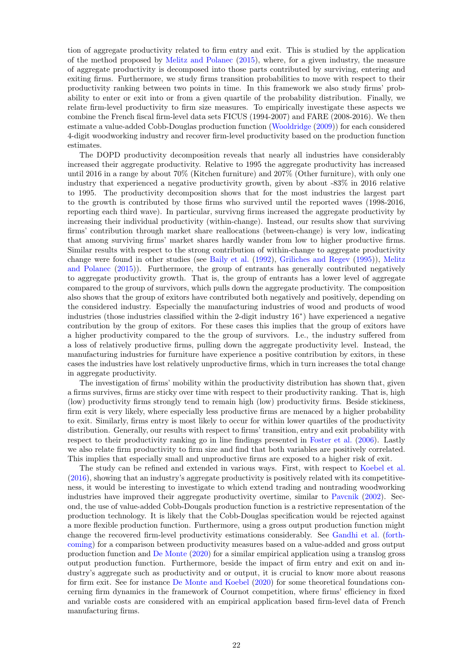tion of aggregate productivity related to firm entry and exit. This is studied by the application of the method proposed by [Melitz and Polanec](#page-31-1) [\(2015\)](#page-31-1), where, for a given industry, the measure of aggregate productivity is decomposed into those parts contributed by surviving, entering and exiting firms. Furthermore, we study firms transition probabilities to move with respect to their productivity ranking between two points in time. In this framework we also study firms' probability to enter or exit into or from a given quartile of the probability distribution. Finally, we relate firm-level productivity to firm size measures. To empirically investigate these aspects we combine the French fiscal firm-level data sets FICUS (1994-2007) and FARE (2008-2016). We then estimate a value-added Cobb-Douglas production function [\(Wooldridge](#page-31-0) [\(2009\)](#page-31-0)) for each considered 4-digit woodworking industry and recover firm-level productivity based on the production function estimates.

The DOPD productivity decomposition reveals that nearly all industries have considerably increased their aggregate productivity. Relative to 1995 the aggregate productivity has increased until 2016 in a range by about 70% (Kitchen furniture) and 207% (Other furniture), with only one industry that experienced a negative productivity growth, given by about -83% in 2016 relative to 1995. The productivity decomposition shows that for the most industries the largest part to the growth is contributed by those firms who survived until the reported waves (1998-2016, reporting each third wave). In particular, survivng firms increased the aggregate productivity by increasing their individual productivity (within-change). Instead, our results show that surviving firms' contribution through market share reallocations (between-change) is very low, indicating that among surviving firms' market shares hardly wander from low to higher productive firms. Similar results with respect to the strong contribution of within-change to aggregate productivity change were found in other studies (see [Baily et al.](#page-30-3) [\(1992\)](#page-30-3), [Griliches and Regev](#page-30-4) [\(1995\)](#page-30-4)), [Melitz](#page-31-1) [and Polanec](#page-31-1) [\(2015\)](#page-31-1)). Furthermore, the group of entrants has generally contributed negatively to aggregate productivity growth. That is, the group of entrants has a lower level of aggregate compared to the group of survivors, which pulls down the aggregate productivity. The composition also shows that the group of exitors have contributed both negatively and positively, depending on the considered industry. Especially the manufacturing industries of wood and products of wood industries (those industries classified within the 2-digit industry 16<sup>∗</sup> ) have experienced a negative contribution by the group of exitors. For these cases this implies that the group of exitors have a higher productivity compared to the the group of survivors. I.e., the industry suffered from a loss of relatively productive firms, pulling down the aggregate productivity level. Instead, the manufacturing industries for furniture have experience a positive contribution by exitors, in these cases the industries have lost relatively unproductive firms, which in turn increases the total change in aggregate productivity.

The investigation of firms' mobility within the productivity distribution has shown that, given a firms survives, firms are sticky over time with respect to their productivity ranking. That is, high (low) productivity firms strongly tend to remain high (low) productivity firms. Beside stickiness, firm exit is very likely, where especially less productive firms are menaced by a higher probability to exit. Similarly, firms entry is most likely to occur for within lower quartiles of the productivity distribution. Generally, our results with respect to firms' transition, entry and exit probability with respect to their productivity ranking go in line findings presented in [Foster et al.](#page-30-5) [\(2006\)](#page-30-5). Lastly we also relate firm productivity to firm size and find that both variables are positively correlated. This implies that especially small and unproductive firms are exposed to a higher risk of exit.

The study can be refined and extended in various ways. First, with respect to [Koebel et al.](#page-30-1) [\(2016\)](#page-30-1), showing that an industry's aggregate productivity is positively related with its competitiveness, it would be interesting to investigate to which extend trading and nontrading woodworking industries have improved their aggregate productivity overtime, similar to [Pavcnik](#page-31-4) [\(2002\)](#page-31-4). Second, the use of value-added Cobb-Dougals production function is a restrictive representation of the production technology. It is likely that the Cobb-Douglas specification would be rejected against a more flexible production function. Furthermore, using a gross output production function might change the recovered firm-level productivity estimations considerably. See [Gandhi et al.](#page-30-18) [\(forth](#page-30-18)[coming\)](#page-30-18) for a comparison between productivity measures based on a value-added and gross output production function and [De Monte](#page-30-8) [\(2020\)](#page-30-8) for a similar empirical application using a translog gross output production function. Furthermore, beside the impact of firm entry and exit on and industry's aggregate such as productivity and or output, it is crucial to know more about reasons for firm exit. See for instance [De Monte and Koebel](#page-30-19) [\(2020\)](#page-30-19) for some theoretical foundations concerning firm dynamics in the framework of Cournot competition, where firms' efficiency in fixed and variable costs are considered with an empirical application based firm-level data of French manufacturing firms.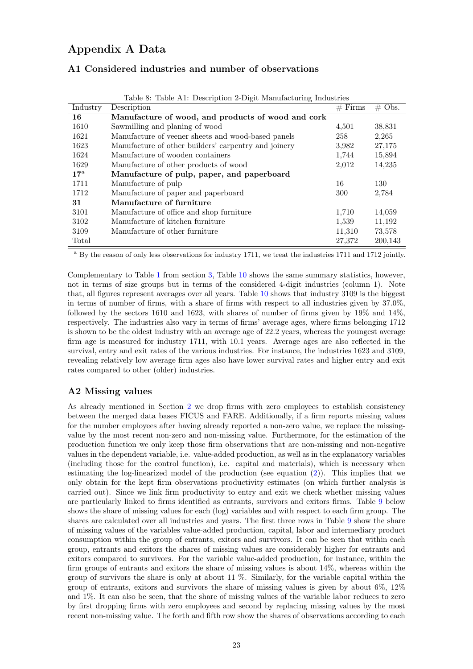# Appendix A Data

# A1 Considered industries and number of observations

| Industry | Description                                          | $#$ Firms | $\#$ Obs. |
|----------|------------------------------------------------------|-----------|-----------|
| 16       | Manufacture of wood, and products of wood and cork   |           |           |
| 1610     | Sawmilling and planing of wood                       | 4,501     | 38,831    |
| 1621     | Manufacture of veener sheets and wood-based panels   | 258       | 2,265     |
| 1623     | Manufacture of other builders' carpentry and joinery | 3,982     | 27,175    |
| 1624     | Manufacture of wooden containers                     | 1,744     | 15,894    |
| 1629     | Manufacture of other products of wood                | 2,012     | 14,235    |
| $17^a$   | Manufacture of pulp, paper, and paperboard           |           |           |
| 1711     | Manufacture of pulp                                  | 16        | 130       |
| 1712     | Manufacture of paper and paperboard                  | 300       | 2,784     |
| 31       | Manufacture of furniture                             |           |           |
| 3101     | Manufacture of office and shop furniture             | 1,710     | 14,059    |
| 3102     | Manufacture of kitchen furniture                     | 1,539     | 11,192    |
| 3109     | Manufacture of other furniture                       | 11,310    | 73,578    |
| Total    |                                                      | 27,372    | 200,143   |

Table 8: Table A1: Description 2-Digit Manufacturing Industries

<sup>a</sup> By the reason of only less observations for industry 1711, we treat the industries 1711 and 1712 jointly.

Complementary to Table [1](#page-5-0) from section [3,](#page-4-3) Table [10](#page-24-0) shows the same summary statistics, however, not in terms of size groups but in terms of the considered 4-digit industries (column 1). Note that, all figures represent averages over all years. Table [10](#page-24-0) shows that industry 3109 is the biggest in terms of number of firms, with a share of firms with respect to all industries given by 37.0%, followed by the sectors 1610 and 1623, with shares of number of firms given by 19% and 14%, respectively. The industries also vary in terms of firms' average ages, where firms belonging 1712 is shown to be the oldest industry with an average age of 22.2 years, whereas the youngest average firm age is measured for industry 1711, with 10.1 years. Average ages are also reflected in the survival, entry and exit rates of the various industries. For instance, the industries 1623 and 3109, revealing relatively low average firm ages also have lower survival rates and higher entry and exit rates compared to other (older) industries.

# A2 Missing values

As already mentioned in Section [2](#page-3-0) we drop firms with zero employees to establish consistency between the merged data bases FICUS and FARE. Additionally, if a firm reports missing values for the number employees after having already reported a non-zero value, we replace the missingvalue by the most recent non-zero and non-missing value. Furthermore, for the estimation of the production function we only keep those firm observations that are non-missing and non-negative values in the dependent variable, i.e. value-added production, as well as in the explanatory variables (including those for the control function), i.e. capital and materials), which is necessary when estimating the log-linearized model of the production (see equation [\(2\)](#page-7-5)). This implies that we only obtain for the kept firm observations productivity estimates (on which further analysis is carried out). Since we link firm productivity to entry and exit we check whether missing values are particularly linked to firms identified as entrants, survivors and exitors firms. Table [9](#page-24-1) below shows the share of missing values for each (log) variables and with respect to each firm group. The shares are calculated over all industries and years. The first three rows in Table [9](#page-24-1) show the share of missing values of the variables value-added production, capital, labor and intermediary product consumption within the group of entrants, exitors and survivors. It can be seen that within each group, entrants and exitors the shares of missing values are considerably higher for entrants and exitors compared to survivors. For the variable value-added production, for instance, within the firm groups of entrants and exitors the share of missing values is about 14%, whereas within the group of survivors the share is only at about 11 %. Similarly, for the variable capital within the group of entrants, exitors and survivors the share of missing values is given by about 6%, 12% and 1%. It can also be seen, that the share of missing values of the variable labor reduces to zero by first dropping firms with zero employees and second by replacing missing values by the most recent non-missing value. The forth and fifth row show the shares of observations according to each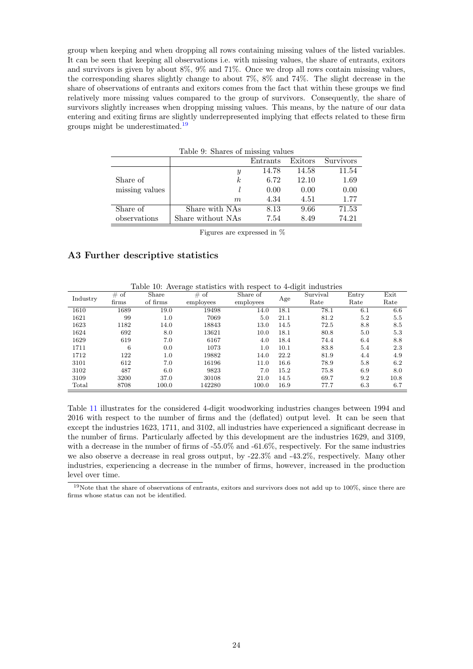group when keeping and when dropping all rows containing missing values of the listed variables. It can be seen that keeping all observations i.e. with missing values, the share of entrants, exitors and survivors is given by about 8%, 9% and 71%. Once we drop all rows contain missing values, the corresponding shares slightly change to about 7%, 8% and 74%. The slight decrease in the share of observations of entrants and exitors comes from the fact that within these groups we find relatively more missing values compared to the group of survivors. Consequently, the share of survivors slightly increases when dropping missing values. This means, by the nature of our data entering and exiting firms are slightly underrepresented implying that effects related to these firm groups might be underestimated.[19](#page-24-2)

|                | Table 9: Shares of missing values |          |         |                  |
|----------------|-----------------------------------|----------|---------|------------------|
|                |                                   | Entrants | Exitors | <b>Survivors</b> |
|                | Y                                 | 14.78    | 14.58   | 11.54            |
| Share of       | k                                 | 6.72     | 12.10   | 1.69             |
| missing values |                                   | 0.00     | 0.00    | 0.00             |
|                | m                                 | 4.34     | 4.51    | 1.77             |
| Share of       | Share with NAs                    | 8.13     | 9.66    | 71.53            |
| observations   | Share without NAs                 | 7.54     | 8.49    | 74.21            |

<span id="page-24-1"></span>Figures are expressed in %

#### A3 Further descriptive statistics

<span id="page-24-0"></span>

| Table 10: Average statistics with respect to 4-digit industries |  |  |  |  |
|-----------------------------------------------------------------|--|--|--|--|
|                                                                 |  |  |  |  |

| Industry | of<br># | Share    | #<br>of   | Share of  |      | Survival | Entry | Exit |
|----------|---------|----------|-----------|-----------|------|----------|-------|------|
|          | firms   | of firms | employees | employees | Age  | Rate     | Rate  | Rate |
| 1610     | 1689    | 19.0     | 19498     | 14.0      | 18.1 | 78.1     | 6.1   | 6.6  |
| 1621     | 99      | 1.0      | 7069      | 5.0       | 21.1 | 81.2     | 5.2   | 5.5  |
| 1623     | 1182    | 14.0     | 18843     | 13.0      | 14.5 | 72.5     | 8.8   | 8.5  |
| 1624     | 692     | 8.0      | 13621     | 10.0      | 18.1 | 80.8     | 5.0   | 5.3  |
| 1629     | 619     | 7.0      | 6167      | 4.0       | 18.4 | 74.4     | 6.4   | 8.8  |
| 1711     | 6       | 0.0      | 1073      | $1.0\,$   | 10.1 | 83.8     | 5.4   | 2.3  |
| 1712     | 122     | 1.0      | 19882     | 14.0      | 22.2 | 81.9     | 4.4   | 4.9  |
| 3101     | 612     | 7.0      | 16196     | 11.0      | 16.6 | 78.9     | 5.8   | 6.2  |
| 3102     | 487     | 6.0      | 9823      | 7.0       | 15.2 | 75.8     | 6.9   | 8.0  |
| 3109     | 3200    | 37.0     | 30108     | 21.0      | 14.5 | 69.7     | 9.2   | 10.8 |
| Total    | 8708    | 100.0    | 142280    | 100.0     | 16.9 | 77.7     | 6.3   | 6.7  |

Table [11](#page-25-0) illustrates for the considered 4-digit woodworking industries changes between 1994 and 2016 with respect to the number of firms and the (deflated) output level. It can be seen that except the industries 1623, 1711, and 3102, all industries have experienced a significant decrease in the number of firms. Particularly affected by this development are the industries 1629, and 3109, with a decrease in the number of firms of -55.0% and -61.6%, respectively. For the same industries we also observe a decrease in real gross output, by -22.3% and -43.2%, respectively. Many other industries, experiencing a decrease in the number of firms, however, increased in the production level over time.

<span id="page-24-2"></span> $19$ Note that the share of observations of entrants, exitors and survivors does not add up to  $100\%$ , since there are firms whose status can not be identified.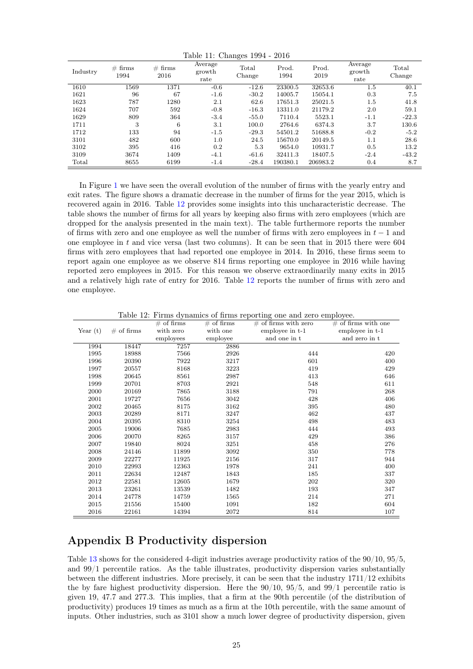<span id="page-25-0"></span>Table 11: Changes 1994 - 2016

| Industry | # firms<br>1994 | # firms<br>2016 | Average<br>growth<br>rate | Total<br>Change | Prod.<br>1994 | Prod.<br>2019 | Average<br>growth<br>rate | Total<br>Change |
|----------|-----------------|-----------------|---------------------------|-----------------|---------------|---------------|---------------------------|-----------------|
| 1610     | 1569            | 1371            | $-0.6$                    | $-12.6$         | 23300.5       | 32653.6       | 1.5                       | 40.1            |
| 1621     | 96              | 67              | $-1.6$                    | $-30.2$         | 14005.7       | 15054.1       | 0.3                       | 7.5             |
| 1623     | 787             | 1280            | 2.1                       | 62.6            | 17651.3       | 25021.5       | 1.5                       | 41.8            |
| 1624     | 707             | 592             | $-0.8$                    | $-16.3$         | 13311.0       | 21179.2       | 2.0                       | 59.1            |
| 1629     | 809             | 364             | $-3.4$                    | $-55.0$         | 7110.4        | 5523.1        | $-1.1$                    | $-22.3$         |
| 1711     | 3               | 6               | 3.1                       | 100.0           | 2764.6        | 6374.3        | 3.7                       | 130.6           |
| 1712     | 133             | 94              | $-1.5$                    | $-29.3$         | 54501.2       | 51688.8       | $-0.2$                    | $-5.2$          |
| 3101     | 482             | 600             | 1.0                       | 24.5            | 15670.0       | 20149.5       | 1.1                       | 28.6            |
| 3102     | 395             | 416             | 0.2                       | 5.3             | 9654.0        | 10931.7       | 0.5                       | 13.2            |
| 3109     | 3674            | 1409            | $-4.1$                    | $-61.6$         | 32411.3       | 18407.5       | $-2.4$                    | $-43.2$         |
| Total    | 8655            | 6199            | $-1.4$                    | $-28.4$         | 190380.1      | 206983.2      | 0.4                       | 8.7             |

In Figure [1](#page-5-1) we have seen the overall evolution of the number of firms with the yearly entry and exit rates. The figure shows a dramatic decrease in the number of firms for the year 2015, which is recovered again in 2016. Table [12](#page-25-1) provides some insights into this uncharacteristic decrease. The table shows the number of firms for all years by keeping also firms with zero employees (which are dropped for the analysis presented in the main text). The table furthermore reports the number of firms with zero and one employee as well the number of firms with zero employees in  $t - 1$  and one employee in  $t$  and vice versa (last two columns). It can be seen that in 2015 there were 604 firms with zero employees that had reported one employee in 2014. In 2016, these firms seem to report again one employee as we observe 814 firms reporting one employee in 2016 while having reported zero employees in 2015. For this reason we observe extraordinarily many exits in 2015 and a relatively high rate of entry for 2016. Table [12](#page-25-1) reports the number of firms with zero and one employee.

<span id="page-25-1"></span>

|               |               | Table 12: Firms dynamics of firms reporting one and zero employee. |                 |
|---------------|---------------|--------------------------------------------------------------------|-----------------|
| $\#$ of firms | $\#$ of firms | $\#$ of firms with zero                                            | $\#$ of firms w |

|            |              | $\#$ of firms | $#$ of firms | $\#$ of firms with zero | $\#$ of firms with one |
|------------|--------------|---------------|--------------|-------------------------|------------------------|
| Year $(t)$ | $#$ of firms | with zero     | with one     | employee in t-1         | employee in t-1        |
|            |              | employees     | employee     | and one in t            | and zero in t          |
| 1994       | 18447        | 7257          | 2886         |                         |                        |
| 1995       | 18988        | 7566          | 2926         | 444                     | 420                    |
| 1996       | 20390        | 7922          | 3217         | 601                     | 400                    |
| 1997       | 20557        | 8168          | 3223         | 419                     | 429                    |
| 1998       | 20645        | 8561          | 2987         | 413                     | 646                    |
| 1999       | 20701        | 8703          | 2921         | 548                     | 611                    |
| 2000       | 20169        | 7865          | 3188         | 791                     | 268                    |
| 2001       | 19727        | 7656          | 3042         | 428                     | 406                    |
| 2002       | 20465        | 8175          | 3162         | 395                     | 480                    |
| 2003       | 20289        | 8171          | 3247         | 462                     | 437                    |
| 2004       | 20395        | 8310          | 3254         | 498                     | 483                    |
| 2005       | 19006        | 7685          | 2983         | 444                     | 493                    |
| 2006       | 20070        | 8265          | 3157         | 429                     | 386                    |
| 2007       | 19840        | 8024          | 3251         | 458                     | 276                    |
| 2008       | 24146        | 11899         | 3092         | 350                     | 778                    |
| 2009       | 22277        | 11925         | 2156         | 317                     | 944                    |
| 2010       | 22993        | 12363         | 1978         | 241                     | 400                    |
| 2011       | 22634        | 12487         | 1843         | 185                     | 337                    |
| 2012       | 22581        | 12605         | 1679         | 202                     | 320                    |
| 2013       | 23261        | 13539         | 1482         | 193                     | 347                    |
| 2014       | 24778        | 14759         | 1565         | 214                     | 271                    |
| 2015       | 21556        | 15400         | 1091         | 182                     | 604                    |
| 2016       | 22161        | 14394         | 2072         | 814                     | 107                    |

# Appendix B Productivity dispersion

Table [13](#page-26-0) shows for the considered 4-digit industries average productivity ratios of the 90/10, 95/5, and 99/1 percentile ratios. As the table illustrates, productivity dispersion varies substantially between the different industries. More precisely, it can be seen that the industry 1711/12 exhibits the by fare highest productivity dispersion. Here the  $90/10$ ,  $95/5$ , and  $99/1$  percentile ratio is given 19, 47.7 and 277.3. This implies, that a firm at the 90th percentile (of the distribution of productivity) produces 19 times as much as a firm at the 10th percentile, with the same amount of inputs. Other industries, such as 3101 show a much lower degree of productivity dispersion, given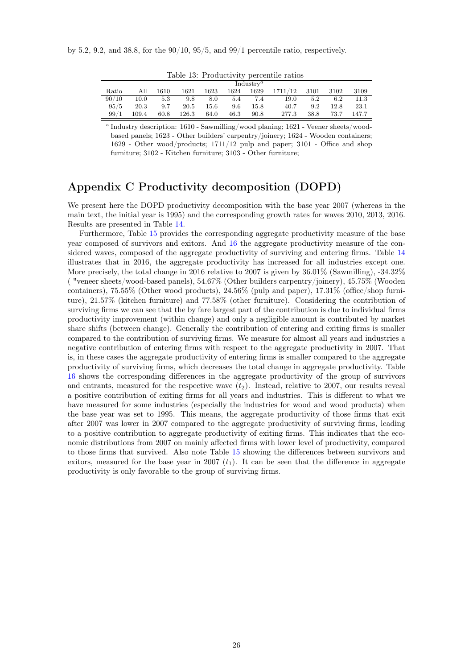by 5.2, 9.2, and 38.8, for the  $90/10$ ,  $95/5$ , and  $99/1$  percentile ratio, respectively.

<span id="page-26-0"></span>

| Table 13: Productivity percentile ratios |  |  |  |  |
|------------------------------------------|--|--|--|--|
|------------------------------------------|--|--|--|--|

|       |       |               |                     |         |           | Industry <sup><i>a</i></sup> |              |      |      |          |
|-------|-------|---------------|---------------------|---------|-----------|------------------------------|--------------|------|------|----------|
| Ratio | All   | 1610          | 1621                | 1623    | 1624 1629 |                              | 1711/12 3101 |      | 3102 | 3109     |
| 90/10 |       | $10.0 \t 5.3$ |                     | 9.8 8.0 |           | 5.4 7.4                      | 19.0         | 5.2  |      | 6.2 11.3 |
| 95/5  | 20.3  |               | $9.7$ $20.5$ $15.6$ |         |           | 9.6 15.8                     | 40.7         | 9.2  | 12.8 | -23.1    |
| 99/1  | 109.4 | 60.8          | 126.3               | 64.0    | 46.3      | 90.8                         | 277.3        | 38.8 | 73.7 | 147.7    |

<sup>a</sup> Industry description: 1610 - Sawmilling/wood planing; 1621 - Veener sheets/woodbased panels; 1623 - Other builders' carpentry/joinery; 1624 - Wooden containers; 1629 - Other wood/products; 1711/12 pulp and paper; 3101 - Office and shop furniture; 3102 - Kitchen furniture; 3103 - Other furniture;

# Appendix C Productivity decomposition (DOPD)

We present here the DOPD productivity decomposition with the base year 2007 (whereas in the main text, the initial year is 1995) and the corresponding growth rates for waves 2010, 2013, 2016. Results are presented in Table [14.](#page-27-0)

Furthermore, Table [15](#page-28-0) provides the corresponding aggregate productivity measure of the base year composed of survivors and exitors. And [16](#page-29-0) the aggregate productivity measure of the considered waves, composed of the aggregate productivity of surviving and entering firms. Table [14](#page-27-0) illustrates that in 2016, the aggregate productivity has increased for all industries except one. More precisely, the total change in 2016 relative to 2007 is given by 36.01% (Sawmilling), -34.32% ( "veneer sheets/wood-based panels), 54.67% (Other builders carpentry/joinery), 45.75% (Wooden containers), 75.55% (Other wood products), 24.56% (pulp and paper), 17.31% (office/shop furniture), 21.57% (kitchen furniture) and 77.58% (other furniture). Considering the contribution of surviving firms we can see that the by fare largest part of the contribution is due to individual firms productivity improvement (within change) and only a negligible amount is contributed by market share shifts (between change). Generally the contribution of entering and exiting firms is smaller compared to the contribution of surviving firms. We measure for almost all years and industries a negative contribution of entering firms with respect to the aggregate productivity in 2007. That is, in these cases the aggregate productivity of entering firms is smaller compared to the aggregate productivity of surviving firms, which decreases the total change in aggregate productivity. Table [16](#page-29-0) shows the corresponding differences in the aggregate productivity of the group of survivors and entrants, measured for the respective wave  $(t_2)$ . Instead, relative to 2007, our results reveal a positive contribution of exiting firms for all years and industries. This is different to what we have measured for some industries (especially the industries for wood and wood products) when the base year was set to 1995. This means, the aggregate productivity of those firms that exit after 2007 was lower in 2007 compared to the aggregate productivity of surviving firms, leading to a positive contribution to aggregate productivity of exiting firms. This indicates that the economic distributions from 2007 on mainly affected firms with lower level of productivity, compared to those firms that survived. Also note Table [15](#page-28-0) showing the differences between survivors and exitors, measured for the base year in 2007  $(t_1)$ . It can be seen that the difference in aggregate productivity is only favorable to the group of surviving firms.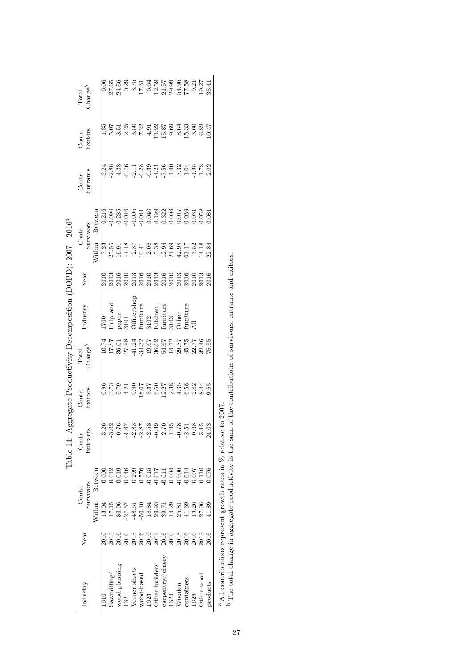<span id="page-27-0"></span>

|                                                                                                                         | Year                         | Contr.    |                                                             | Contr            | Contr.<br>Exitors | Total                                                                     | industry                                                                                                                                                                                                                                                                                                                                                                                                                                                                          | Year | Contr                                                                                                                                                                                                                                                                      |                                                                                                                                                                                                                                                                                                     |                                                                              | Contr.<br>Exitors |                                          |
|-------------------------------------------------------------------------------------------------------------------------|------------------------------|-----------|-------------------------------------------------------------|------------------|-------------------|---------------------------------------------------------------------------|-----------------------------------------------------------------------------------------------------------------------------------------------------------------------------------------------------------------------------------------------------------------------------------------------------------------------------------------------------------------------------------------------------------------------------------------------------------------------------------|------|----------------------------------------------------------------------------------------------------------------------------------------------------------------------------------------------------------------------------------------------------------------------------|-----------------------------------------------------------------------------------------------------------------------------------------------------------------------------------------------------------------------------------------------------------------------------------------------------|------------------------------------------------------------------------------|-------------------|------------------------------------------|
| Industry                                                                                                                |                              | Survivors |                                                             | Entran'          |                   | $\mathbb{C}\mathrm{hange}^{b}$                                            |                                                                                                                                                                                                                                                                                                                                                                                                                                                                                   |      | Survivors                                                                                                                                                                                                                                                                  |                                                                                                                                                                                                                                                                                                     | Contr.<br>Entrants                                                           |                   | $\frac{\text{Total}}{\text{Change}^{b}}$ |
|                                                                                                                         |                              | Within    | Between                                                     |                  |                   |                                                                           |                                                                                                                                                                                                                                                                                                                                                                                                                                                                                   |      | Vithin                                                                                                                                                                                                                                                                     | Betweer                                                                                                                                                                                                                                                                                             |                                                                              |                   |                                          |
| 1610                                                                                                                    |                              | 13.04     |                                                             |                  |                   |                                                                           |                                                                                                                                                                                                                                                                                                                                                                                                                                                                                   |      |                                                                                                                                                                                                                                                                            |                                                                                                                                                                                                                                                                                                     |                                                                              |                   |                                          |
| Sawminiling/                                                                                                            | 2013                         |           |                                                             |                  |                   |                                                                           |                                                                                                                                                                                                                                                                                                                                                                                                                                                                                   |      |                                                                                                                                                                                                                                                                            |                                                                                                                                                                                                                                                                                                     |                                                                              |                   |                                          |
| wood planning                                                                                                           |                              | 30.96     | 0.019                                                       |                  |                   | ដ្ឋ និង ទី១៩ ខែមី មី ដែលមាន<br>ក្នុង មី មី មី មី មី ដូច មី មី មី មី មី មី | $\begin{tabular}{l} 1700 \\ {\footnotesize \text{Pubp and} } \\ {\footnotesize \text{Pape}} \\ \text{S101} \\ \text{Office/shor} \\ \text{infinite} \\ \text{f.itiden} \\ \text{f.itden} \\ \text{f.itden} \\ \text{f.itden} \\ \text{f.itden} \\ \text{f.itone} \\ \text{f.itone} \\ \text{f.itone} \\ \text{f.itone} \\ \text{f.itone} \\ \text{f.itone} \\ \text{f.itone} \\ \text{f.itone} \\ \text{f.itone} \\ \text{f.itone} \\ \text{f.itone} \\ \text{f.itone} \\ \text{$ |      | $\begin{array}{l} 7.33\\ 7.45\\ 8.59\\ 1.43\\ 1.45\\ 2.54\\ 2.56\\ 2.57\\ 2.57\\ 2.58\\ 2.59\\ 2.59\\ 2.50\\ 2.50\\ 2.50\\ 2.50\\ 2.50\\ 2.50\\ 2.50\\ 2.50\\ 2.50\\ 2.50\\ 2.50\\ 2.50\\ 2.50\\ 2.50\\ 2.50\\ 2.50\\ 2.50\\ 2.50\\ 2.50\\ 2.50\\ 2.50\\ 2.50\\ 2.50\\ 2.$ | $\begin{array}{l} 0.216 \\ 0.010 \\ 0.010 \\ 0.010 \\ 0.000 \\ 0.000 \\ 0.000 \\ 0.000 \\ 0.000 \\ 0.000 \\ 0.000 \\ 0.000 \\ 0.000 \\ 0.000 \\ 0.000 \\ 0.000 \\ 0.000 \\ 0.000 \\ 0.000 \\ 0.000 \\ 0.000 \\ 0.000 \\ 0.000 \\ 0.000 \\ 0.000 \\ 0.000 \\ 0.000 \\ 0.000 \\ 0.000 \\ 0.000 \\ 0.$ | 1<br>12 3 3 3 6 1 3 3 5 1 5 9 9 3 5 6 6 7 9<br>1 9 1 9 0 9 1 6 7 9 0 1 9 1 9 |                   |                                          |
| 1621                                                                                                                    | 2016<br>2010                 | 27.57     | 0.046                                                       |                  |                   |                                                                           |                                                                                                                                                                                                                                                                                                                                                                                                                                                                                   |      |                                                                                                                                                                                                                                                                            |                                                                                                                                                                                                                                                                                                     |                                                                              |                   |                                          |
| Veener sheets                                                                                                           | 2013                         | 48.61     |                                                             |                  |                   |                                                                           |                                                                                                                                                                                                                                                                                                                                                                                                                                                                                   |      |                                                                                                                                                                                                                                                                            |                                                                                                                                                                                                                                                                                                     |                                                                              |                   |                                          |
| wood-based                                                                                                              | 2016                         | 50.10     |                                                             |                  |                   |                                                                           |                                                                                                                                                                                                                                                                                                                                                                                                                                                                                   |      |                                                                                                                                                                                                                                                                            |                                                                                                                                                                                                                                                                                                     |                                                                              |                   |                                          |
| 1623                                                                                                                    | 201                          |           |                                                             |                  |                   |                                                                           |                                                                                                                                                                                                                                                                                                                                                                                                                                                                                   |      |                                                                                                                                                                                                                                                                            |                                                                                                                                                                                                                                                                                                     |                                                                              |                   |                                          |
| Other builders'                                                                                                         |                              |           | 9.299<br>0.576<br>0.015<br>0.017<br>0.014<br>0.000<br>0.014 | $\frac{1}{2}$ of |                   |                                                                           |                                                                                                                                                                                                                                                                                                                                                                                                                                                                                   |      |                                                                                                                                                                                                                                                                            |                                                                                                                                                                                                                                                                                                     |                                                                              |                   |                                          |
| carpentry/joinery                                                                                                       |                              |           |                                                             |                  |                   |                                                                           |                                                                                                                                                                                                                                                                                                                                                                                                                                                                                   |      |                                                                                                                                                                                                                                                                            |                                                                                                                                                                                                                                                                                                     |                                                                              |                   |                                          |
| 1624                                                                                                                    |                              |           |                                                             |                  |                   |                                                                           |                                                                                                                                                                                                                                                                                                                                                                                                                                                                                   |      |                                                                                                                                                                                                                                                                            |                                                                                                                                                                                                                                                                                                     |                                                                              |                   |                                          |
| Wooden                                                                                                                  | 31803<br>20181003<br>2018101 |           |                                                             |                  |                   |                                                                           |                                                                                                                                                                                                                                                                                                                                                                                                                                                                                   |      |                                                                                                                                                                                                                                                                            |                                                                                                                                                                                                                                                                                                     |                                                                              |                   |                                          |
| containers                                                                                                              |                              |           |                                                             |                  |                   |                                                                           |                                                                                                                                                                                                                                                                                                                                                                                                                                                                                   |      |                                                                                                                                                                                                                                                                            |                                                                                                                                                                                                                                                                                                     |                                                                              |                   |                                          |
| 1629                                                                                                                    |                              | 19.26     | 0.007                                                       |                  |                   |                                                                           |                                                                                                                                                                                                                                                                                                                                                                                                                                                                                   |      |                                                                                                                                                                                                                                                                            |                                                                                                                                                                                                                                                                                                     |                                                                              |                   |                                          |
| Other wooc                                                                                                              |                              | 27.06     | 0.110                                                       | ကု               |                   |                                                                           |                                                                                                                                                                                                                                                                                                                                                                                                                                                                                   |      |                                                                                                                                                                                                                                                                            |                                                                                                                                                                                                                                                                                                     |                                                                              |                   |                                          |
| products                                                                                                                | 2016                         | 11.89     |                                                             |                  |                   |                                                                           |                                                                                                                                                                                                                                                                                                                                                                                                                                                                                   |      |                                                                                                                                                                                                                                                                            |                                                                                                                                                                                                                                                                                                     |                                                                              |                   |                                          |
| $\frac{1}{10}$ $\frac{1}{10}$ $\frac{1}{10}$ $\frac{1}{10}$ $\frac{1}{10}$ $\frac{1}{10}$ $\frac{1}{10}$ $\frac{1}{10}$ |                              |           | ここを ・ こ                                                     |                  | č                 |                                                                           |                                                                                                                                                                                                                                                                                                                                                                                                                                                                                   |      |                                                                                                                                                                                                                                                                            |                                                                                                                                                                                                                                                                                                     |                                                                              |                   |                                          |

Table 14: Aggregate Productivity Decomposition (DOPD):  $2007$  -  $2016^a$ Table 14: Aggregate Productivity Decomposition (DOPD): 2007 - 2016a

ab<sup>a</sup> All contributions represent growth rates in % relative to 2007.

The total change in aggregate productivity is the sum of the contributions of survivors, entrants and exitors.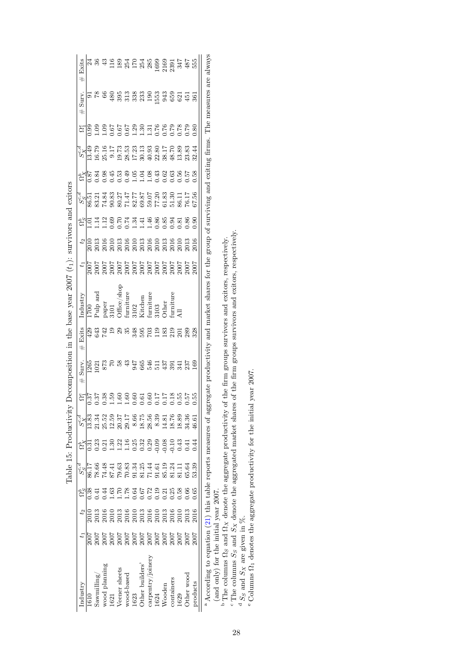<span id="page-28-0"></span>

| Exits<br>#                                                                                                                                                                                                                                                                                                           |      |                        | $\ddot{a}$ |                                                                                                                                                                                                                                                                                                                      |                                            |     |                  |     |               |     |     |                                                             |              |         | are always                                                               |
|----------------------------------------------------------------------------------------------------------------------------------------------------------------------------------------------------------------------------------------------------------------------------------------------------------------------|------|------------------------|------------|----------------------------------------------------------------------------------------------------------------------------------------------------------------------------------------------------------------------------------------------------------------------------------------------------------------------|--------------------------------------------|-----|------------------|-----|---------------|-----|-----|-------------------------------------------------------------|--------------|---------|--------------------------------------------------------------------------|
| Surv.<br>$\#$                                                                                                                                                                                                                                                                                                        |      |                        |            |                                                                                                                                                                                                                                                                                                                      |                                            |     |                  |     |               |     |     |                                                             |              |         | The measures                                                             |
| ಜೆ                                                                                                                                                                                                                                                                                                                   |      |                        |            |                                                                                                                                                                                                                                                                                                                      |                                            |     |                  |     |               |     |     |                                                             |              |         |                                                                          |
| a la p o o r n n n n n n n o o l r 0 a n n<br>V l n r n n n n n n n n n n n n n n<br>V l n n n n n n n n n n n n n n n n                                                                                                                                                                                             |      |                        |            |                                                                                                                                                                                                                                                                                                                      |                                            |     |                  |     |               |     |     |                                                             |              |         | group of surviving and exiting firms.                                    |
|                                                                                                                                                                                                                                                                                                                      |      |                        |            | $\frac{1}{12}$ $\frac{1}{2}$ $\frac{3}{2}$ $\frac{3}{2}$ $\frac{3}{2}$ $\frac{3}{2}$ $\frac{3}{2}$ $\frac{3}{2}$ $\frac{3}{2}$ $\frac{3}{2}$ $\frac{3}{2}$ $\frac{3}{2}$ $\frac{3}{2}$ $\frac{3}{2}$ $\frac{3}{2}$ $\frac{3}{2}$ $\frac{3}{2}$ $\frac{3}{2}$ $\frac{3}{2}$ $\frac{3}{2}$ $\frac{3}{2}$ $\frac{3}{2}$ |                                            |     |                  |     |               |     |     |                                                             |              | 0.58    |                                                                          |
|                                                                                                                                                                                                                                                                                                                      |      |                        |            |                                                                                                                                                                                                                                                                                                                      |                                            |     |                  |     |               |     |     |                                                             |              |         |                                                                          |
|                                                                                                                                                                                                                                                                                                                      |      | $\Xi$                  |            | 1865 1868 3868<br>1966 1966 1966                                                                                                                                                                                                                                                                                     |                                            |     |                  |     |               |     |     |                                                             |              |         |                                                                          |
| $t_2$                                                                                                                                                                                                                                                                                                                |      |                        |            |                                                                                                                                                                                                                                                                                                                      |                                            |     |                  |     |               |     |     |                                                             |              |         |                                                                          |
| $t_1$                                                                                                                                                                                                                                                                                                                |      |                        |            |                                                                                                                                                                                                                                                                                                                      |                                            |     |                  |     |               |     |     |                                                             |              |         |                                                                          |
| ndustry                                                                                                                                                                                                                                                                                                              |      |                        |            | 1700<br>Pulp and<br>Pulp and<br>paper<br>paper<br>S101<br>Miniture<br>3102<br>Miniture<br>Cother<br>Other                                                                                                                                                                                                            |                                            |     |                  |     |               |     |     |                                                             |              |         | and market shares for the                                                |
| Exits<br>#                                                                                                                                                                                                                                                                                                           |      | 23<br>23<br>24<br>24   |            |                                                                                                                                                                                                                                                                                                                      | 29                                         | 348 | 595<br>703       |     | $\frac{9}{2}$ | 183 | 219 | 20328                                                       |              |         |                                                                          |
| $_{\rm{Surr}}$<br>$^{\rm \#}$                                                                                                                                                                                                                                                                                        |      | 1265<br>1021<br>873    |            |                                                                                                                                                                                                                                                                                                                      |                                            | 947 | 365              | 546 |               |     |     | $\Xi$ $\frac{5}{9}$ $\Xi$ $\frac{1}{2}$ $\frac{5}{9}$ $\Xi$ |              |         |                                                                          |
| $\mathbb{S}^{\mathbb{C}}$                                                                                                                                                                                                                                                                                            |      |                        |            | 5.37<br>0.38.59<br>0.4.4.40<br>0.6                                                                                                                                                                                                                                                                                   |                                            |     | 881128<br>600000 |     |               |     |     |                                                             | 0.55<br>0.55 |         | egate                                                                    |
| $\frac{1}{2}$ $\frac{1}{2}$ $\frac{1}{8}$ $\frac{3}{8}$ $\frac{3}{8}$ $\frac{3}{8}$ $\frac{3}{8}$ $\frac{5}{8}$ $\frac{5}{8}$ $\frac{1}{12}$ $\frac{5}{8}$ $\frac{3}{8}$ $\frac{5}{8}$ $\frac{1}{8}$ $\frac{5}{8}$ $\frac{5}{8}$ $\frac{5}{8}$ $\frac{5}{8}$ $\frac{3}{8}$ $\frac{3}{8}$ $\frac{3}{8}$ $\frac{5}{8}$ |      |                        |            |                                                                                                                                                                                                                                                                                                                      |                                            |     |                  |     |               |     |     |                                                             |              |         |                                                                          |
|                                                                                                                                                                                                                                                                                                                      |      |                        |            |                                                                                                                                                                                                                                                                                                                      |                                            |     |                  |     |               |     |     |                                                             |              |         |                                                                          |
| $\begin{array}{c} 0.64 \\ 0.08 \\ 0.09 \\ 0.09 \\ 0.09 \\ 0.09 \\ 0.09 \\ 0.09 \\ 0.09 \\ 0.09 \\ 0.09 \\ 0.09 \\ 0.09 \\ 0.00 \\ 0.00 \\ 0.00 \\ 0.00 \\ 0.00 \\ 0.00 \\ 0.00 \\ 0.00 \\ 0.00 \\ 0.00 \\ 0.00 \\ 0.00 \\ 0.00 \\ 0.00 \\ 0.00 \\ 0.00 \\ 0.00 \\ 0.00 \\ 0.00 \\ 0.00 \\ 0.00 \\ 0.00 \\ 0.$        |      |                        |            |                                                                                                                                                                                                                                                                                                                      |                                            |     |                  |     |               |     |     |                                                             |              |         |                                                                          |
|                                                                                                                                                                                                                                                                                                                      | 0.38 | 0.41                   | 1.44       | 1.63                                                                                                                                                                                                                                                                                                                 | 178452318886<br>17845231888<br>11000000000 |     |                  |     |               |     |     |                                                             |              | 0.65    |                                                                          |
|                                                                                                                                                                                                                                                                                                                      |      |                        |            |                                                                                                                                                                                                                                                                                                                      |                                            |     |                  |     |               |     |     |                                                             |              |         |                                                                          |
|                                                                                                                                                                                                                                                                                                                      |      |                        |            |                                                                                                                                                                                                                                                                                                                      |                                            |     |                  |     |               |     |     |                                                             |              |         |                                                                          |
|                                                                                                                                                                                                                                                                                                                      |      | $3$ aw $\min$ l $\log$ |            | wood planning<br>1621<br>1621<br>Veener sheets<br>Veener sheets<br>1623<br>Cother wood<br>629<br>004<br>004<br>coordaners<br>2020                                                                                                                                                                                    |                                            |     |                  |     |               |     |     |                                                             |              | roducts | <sup>a</sup> According to equation (21) this table reports measures of a |

Table 15: Productivity Decomposition in the base year  $2007(t_1)$ : survivors and exitors Table 15: Productivity Decomposition in the base year  $2007(t_1)$ : survivors and exitors <sup>a</sup> According to equation [\(21\)](#page-9-2) this table reports measures of aggregate productivity and market shares for the group of surviving and exiting firms. The measures are always (and only) for the initial year 2007.

<sup>b</sup> The columns  $\Omega_S$  and  $\Omega_X$  denote the aggregate productivity of the firm groups survivors and exitors, respectively.

abcdeThe columns  $S_S$  and  $S_X$  denote the aggregated market shares of the firm groups survivors and exitors, respectively.

 $\frac{d}{d} S_S$  and  $S_X$  are given in  $\%$ .

Columns Ω1 denotes the aggregate productivity for the initial year 2007.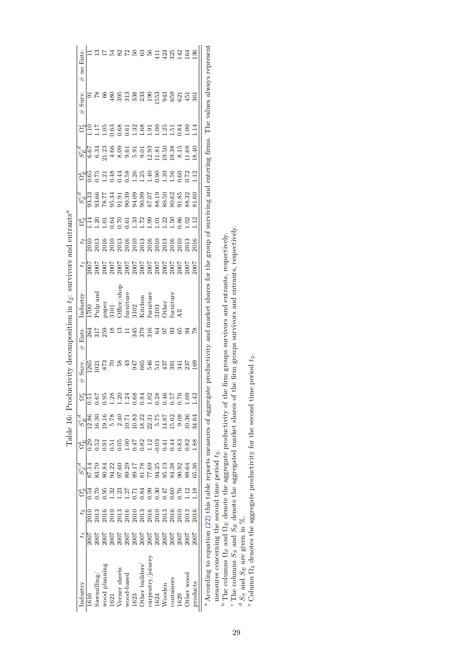<span id="page-29-0"></span>

| Industry                                                                                                                                                       |                                      | $t_2$ | $\Omega^b_{\alpha}$                  | $\overline{S_{S}^{c,d}}$                                                                                      | $\Omega^b_E$     | $S^{c,d}_{F}$                             |                                                                                                                                                                                                                                                                                                                                               | Surv.<br>#     | Entr.<br>$\#$ | Industry                                                          | $\ddot{t}$                           | $t_2$        | $\Omega_S^b$                              |                                                          |                   |                                                             |      | Surv.<br>$\#$    | Entr.<br>no<br>#            |
|----------------------------------------------------------------------------------------------------------------------------------------------------------------|--------------------------------------|-------|--------------------------------------|---------------------------------------------------------------------------------------------------------------|------------------|-------------------------------------------|-----------------------------------------------------------------------------------------------------------------------------------------------------------------------------------------------------------------------------------------------------------------------------------------------------------------------------------------------|----------------|---------------|-------------------------------------------------------------------|--------------------------------------|--------------|-------------------------------------------|----------------------------------------------------------|-------------------|-------------------------------------------------------------|------|------------------|-----------------------------|
| 1610                                                                                                                                                           |                                      | 2010  | 0.54                                 | 87.14                                                                                                         | 0.29             | 12.86                                     | $\begin{array}{c} \n\alpha_{11}^{11} & \alpha_{21}^{12} & \alpha_{32}^{12} & \alpha_{43}^{12} & \alpha_{54}^{12} & \alpha_{64}^{12} & \alpha_{75}^{12} & \alpha_{86}^{12} & \alpha_{17}^{12} & \alpha_{18}^{12} & \alpha_{19}^{12} & \alpha_{10}^{12} & \alpha_{11}^{12} & \alpha_{12}^{12} & \alpha_{13}^{12} & \alpha_{14}^{12} & \alpha_{$ | 1265           | 264           | 1700                                                              | 2007                                 |              | Ę                                         | $\frac{3}{3}$ $\frac{3}{3}$ $\frac{3}{3}$ $\frac{3}{3}$  | $\frac{248}{25}$  | $S_{\rm E}^{\rm 5}$ $S_{\rm 2}^{\rm 6}$ $S_{\rm 2}^{\rm 5}$ |      |                  |                             |
| $\operatorname{Sawmilling}$                                                                                                                                    | 2007                                 | 2013  | 0.70                                 |                                                                                                               | 0.52             | 16.30                                     |                                                                                                                                                                                                                                                                                                                                               | $\overline{0}$ | 317           | Pulp and                                                          | 2007                                 | 2013<br>2013 | $\overline{0}$                            |                                                          | 5.75              |                                                             |      | $\frac{8}{7}$    |                             |
| wood planning                                                                                                                                                  |                                      | 2016  | 0.95                                 | 83.70<br>80.84                                                                                                | 0.91             | 19.16                                     |                                                                                                                                                                                                                                                                                                                                               | 873            | 259           |                                                                   |                                      | 2016         |                                           |                                                          |                   |                                                             |      | 66               |                             |
| 1621                                                                                                                                                           | 7007<br>2007<br>2007<br>2007<br>2007 | 2010  |                                      |                                                                                                               | $\overline{5}$ . |                                           |                                                                                                                                                                                                                                                                                                                                               |                |               | paper<br>3101                                                     | 2007<br>2007<br>2007<br>2007<br>2007 |              | $\frac{1}{3}$ $\frac{3}{6}$ $\frac{7}{6}$ | 22 23 33 34 35 36<br>23 36 36 36 37 38<br>23 36 36 37 38 | $\frac{138}{134}$ | 23<br>2360555                                               |      | 480              |                             |
| Veener sheets                                                                                                                                                  |                                      | 2013  | $1.32$<br>$1.25$<br>$1.54$<br>$0.84$ |                                                                                                               | 0.05             | $5.78$<br>2.40                            |                                                                                                                                                                                                                                                                                                                                               | 5 3 3          | ≌             | )ffice/shop                                                       |                                      |              |                                           |                                                          |                   |                                                             |      | 395              | 22526                       |
| wood-based                                                                                                                                                     |                                      | 2016  |                                      |                                                                                                               | $-1.00$          |                                           |                                                                                                                                                                                                                                                                                                                                               |                |               | $\begin{array}{c}\n\text{inture} \\ \text{limiture}\n\end{array}$ |                                      |              | 0.61                                      |                                                          | 0.58              |                                                             |      |                  |                             |
| 1623                                                                                                                                                           |                                      | 2010  |                                      |                                                                                                               | 0.47             |                                           |                                                                                                                                                                                                                                                                                                                                               | 947            | 345           |                                                                   |                                      |              | 1.33                                      |                                                          | 1.26              |                                                             |      | 338<br>338<br>23 |                             |
| Other builders'                                                                                                                                                |                                      | 2013  |                                      |                                                                                                               | $0.82$<br>1.12   | 10.71<br>10.82<br>12.81<br>14.87<br>14.87 |                                                                                                                                                                                                                                                                                                                                               | 665            | 379           | Kitchen                                                           |                                      |              | 1.72                                      |                                                          | 1.25              | 9.01                                                        |      |                  |                             |
| carpentry/joinery                                                                                                                                              |                                      | 2016  | 0.99                                 |                                                                                                               |                  |                                           |                                                                                                                                                                                                                                                                                                                                               |                | 316           | <b>iumiture</b>                                                   |                                      |              | 0.99                                      |                                                          | 1.40              |                                                             |      | $190$<br>$53$    |                             |
| 1624                                                                                                                                                           | $\frac{7007}{2007}$                  | 2010  | 0.30                                 |                                                                                                               | $-0.03$          |                                           |                                                                                                                                                                                                                                                                                                                                               | 3137           | 2             | 3103                                                              |                                      |              | $\Xi$                                     |                                                          | 0.90              |                                                             |      |                  | $\frac{11}{11}$             |
| Wooden                                                                                                                                                         |                                      | 2013  | 0.47                                 |                                                                                                               | 0.41             |                                           |                                                                                                                                                                                                                                                                                                                                               |                | 76            | <b>Other</b>                                                      |                                      |              | 1.22                                      | 80.50                                                    | $^{1.39}$         | 33 53 83<br>21 5 93<br>31 5 93                              |      | 943              |                             |
| containers                                                                                                                                                     | 2007                                 | 2016  | 0.60                                 | 84.38                                                                                                         | 0.44             | 15.62                                     |                                                                                                                                                                                                                                                                                                                                               | 391            | 93            | urniture                                                          |                                      | 2016         | 1.50                                      | 80.62                                                    | $\frac{56}{1}$    |                                                             |      | 659              | $3234$<br>$324$             |
| 1629                                                                                                                                                           | 2007                                 | 2010  | 0.76                                 | 90.92                                                                                                         | 0.83             | 9.08                                      |                                                                                                                                                                                                                                                                                                                                               | 341            | 95            |                                                                   | 2007                                 | 201          | 0.86                                      | 0.85                                                     | 0.60              | 8.15                                                        | 1.84 | 621              |                             |
| Other wood                                                                                                                                                     | 2007                                 | 2013  | $\frac{2}{1}$                        | 89.64                                                                                                         | 0.82             | 10.36                                     |                                                                                                                                                                                                                                                                                                                                               | 237            |               |                                                                   | 2007                                 | 2013         | 0.02                                      | 88.32                                                    | .72               | 1.68                                                        | 00.1 | 451              |                             |
| products                                                                                                                                                       | 2007                                 | 2016  | 1.18                                 | 65.36                                                                                                         | 1.88             | 34.64                                     | 1.42                                                                                                                                                                                                                                                                                                                                          | 169            |               |                                                                   | 7007                                 | 2016         | $\frac{12}{1}$                            | 81.60                                                    | 1.12              | 18.40                                                       |      | 361              | 136                         |
| <sup>a</sup> According to equation (22) this table reports measures of aggregate productivity and market shares for the group of surviving and entering firms. |                                      |       |                                      |                                                                                                               |                  |                                           |                                                                                                                                                                                                                                                                                                                                               |                |               |                                                                   |                                      |              |                                           |                                                          |                   |                                                             |      |                  | The values always represent |
| measures concerning the second time period $t_2$ .                                                                                                             |                                      |       |                                      |                                                                                                               |                  |                                           |                                                                                                                                                                                                                                                                                                                                               |                |               |                                                                   |                                      |              |                                           |                                                          |                   |                                                             |      |                  |                             |
| $\Phi$ The columns $\Omega_S$ and $\Omega_E$ denote the aggregate productivity of the firm groups survivors and entrants, respectively,                        |                                      |       |                                      |                                                                                                               |                  |                                           |                                                                                                                                                                                                                                                                                                                                               |                |               |                                                                   |                                      |              |                                           |                                                          |                   |                                                             |      |                  |                             |
| " The columns $S_S$ and $S_E$ denote the aggregated market shares of                                                                                           |                                      |       |                                      |                                                                                                               |                  |                                           |                                                                                                                                                                                                                                                                                                                                               |                |               | of the firm groups survivors and entrants, respectively.          |                                      |              |                                           |                                                          |                   |                                                             |      |                  |                             |
| <sup>d</sup> $S_S$ and $S_E$ are given in $\%$ .                                                                                                               |                                      |       |                                      |                                                                                                               |                  |                                           |                                                                                                                                                                                                                                                                                                                                               |                |               |                                                                   |                                      |              |                                           |                                                          |                   |                                                             |      |                  |                             |
| -<br>بر<br>0                                                                                                                                                   |                                      |       |                                      | $\frac{1}{2}$ , $\frac{1}{2}$ , $\frac{1}{2}$ , $\frac{1}{2}$ , $\frac{1}{2}$ , $\frac{1}{2}$ , $\frac{1}{2}$ |                  |                                           |                                                                                                                                                                                                                                                                                                                                               |                |               |                                                                   |                                      |              |                                           |                                                          |                   |                                                             |      |                  |                             |

Table 16: Productivity decomposition in  $t_2$ : survivors and entrants<sup>ª</sup> Table 16: Productivity decomposition in  $t_2$ : survivors and entrants<sup>a</sup>

<sup>e</sup> Column  $\Omega_2$  denotes the aggregate productivity for the second time period  $t_2$ .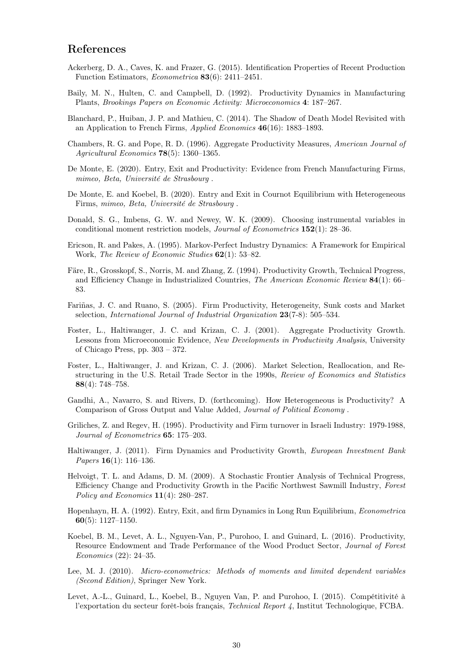# References

- <span id="page-30-10"></span>Ackerberg, D. A., Caves, K. and Frazer, G. (2015). Identification Properties of Recent Production Function Estimators, Econometrica 83(6): 2411–2451.
- <span id="page-30-3"></span>Baily, M. N., Hulten, C. and Campbell, D. (1992). Productivity Dynamics in Manufacturing Plants, Brookings Papers on Economic Activity: Microeconomics 4: 187–267.
- <span id="page-30-9"></span>Blanchard, P., Huiban, J. P. and Mathieu, C. (2014). The Shadow of Death Model Revisited with an Application to French Firms, Applied Economics 46(16): 1883–1893.
- <span id="page-30-7"></span>Chambers, R. G. and Pope, R. D. (1996). Aggregate Productivity Measures, American Journal of Agricultural Economics 78(5): 1360–1365.
- <span id="page-30-8"></span>De Monte, E. (2020). Entry, Exit and Productivity: Evidence from French Manufacturing Firms, mimeo, Beta, Université de Strasbourg .
- <span id="page-30-19"></span>De Monte, E. and Koebel, B. (2020). Entry and Exit in Cournot Equilibrium with Heterogeneous Firms, mimeo, Beta, Université de Strasbourg .
- <span id="page-30-12"></span>Donald, S. G., Imbens, G. W. and Newey, W. K. (2009). Choosing instrumental variables in conditional moment restriction models, Journal of Econometrics 152(1): 28–36.
- <span id="page-30-17"></span>Ericson, R. and Pakes, A. (1995). Markov-Perfect Industry Dynamics: A Framework for Empirical Work, The Review of Economic Studies 62(1): 53–82.
- <span id="page-30-6"></span>Färe, R., Grosskopf, S., Norris, M. and Zhang, Z. (1994). Productivity Growth, Technical Progress, and Efficiency Change in Industrialized Countries, The American Economic Review 84(1): 66– 83.
- <span id="page-30-15"></span>Fariñas, J. C. and Ruano, S. (2005). Firm Productivity, Heterogeneity, Sunk costs and Market selection, International Journal of Industrial Organization 23(7-8): 505–534.
- <span id="page-30-14"></span>Foster, L., Haltiwanger, J. C. and Krizan, C. J. (2001). Aggregate Productivity Growth. Lessons from Microeconomic Evidence, New Developments in Productivity Analysis, University of Chicago Press, pp. 303 – 372.
- <span id="page-30-5"></span>Foster, L., Haltiwanger, J. and Krizan, C. J. (2006). Market Selection, Reallocation, and Restructuring in the U.S. Retail Trade Sector in the 1990s, Review of Economics and Statistics 88(4): 748–758.
- <span id="page-30-18"></span>Gandhi, A., Navarro, S. and Rivers, D. (forthcoming). How Heterogeneous is Productivity? A Comparison of Gross Output and Value Added, Journal of Political Economy .
- <span id="page-30-4"></span>Griliches, Z. and Regev, H. (1995). Productivity and Firm turnover in Israeli Industry: 1979-1988, Journal of Econometrics 65: 175–203.
- <span id="page-30-13"></span>Haltiwanger, J. (2011). Firm Dynamics and Productivity Growth, European Investment Bank *Papers* **16**(1): 116–136.
- <span id="page-30-2"></span>Helvoigt, T. L. and Adams, D. M. (2009). A Stochastic Frontier Analysis of Technical Progress, Efficiency Change and Productivity Growth in the Pacific Northwest Sawmill Industry, Forest Policy and Economics 11(4): 280–287.
- <span id="page-30-16"></span>Hopenhayn, H. A. (1992). Entry, Exit, and firm Dynamics in Long Run Equilibrium, Econometrica 60(5): 1127–1150.
- <span id="page-30-1"></span>Koebel, B. M., Levet, A. L., Nguyen-Van, P., Purohoo, I. and Guinard, L. (2016). Productivity, Resource Endowment and Trade Performance of the Wood Product Sector, Journal of Forest Economics (22): 24–35.
- <span id="page-30-11"></span>Lee, M. J. (2010). Micro-econometrics: Methods of moments and limited dependent variables (Second Edition), Springer New York.
- <span id="page-30-0"></span>Levet, A.-L., Guinard, L., Koebel, B., Nguyen Van, P. and Purohoo, I. (2015). Compétitivité à l'exportation du secteur forêt-bois français, Technical Report 4, Institut Technologique, FCBA.